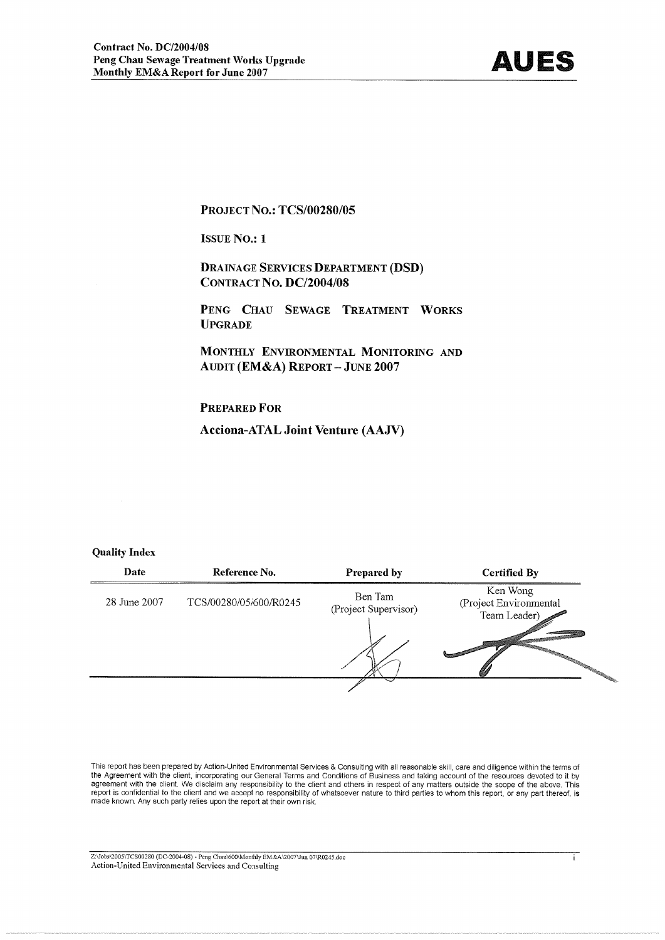

Ŧ

#### **PROJECT NO.: TCS/00280/05**

**ISSUE No.: 1** 

**DRAINAGE SERVICES DEPARTMENT (DSD)** CONTRACT NO. DC/2004/08

PENG CHAU SEWAGE TREATMENT WORKS **UPGRADE** 

MONTHLY ENVIRONMENTAL MONITORING AND **AUDIT (EM&A) REPORT - JUNE 2007** 

#### **PREPARED FOR**

**Acciona-ATAL Joint Venture (AAJV)** 

#### **Quality Index**

| Date         | Reference No.          | Prepared by                     | <b>Certified By</b>                                |
|--------------|------------------------|---------------------------------|----------------------------------------------------|
| 28 June 2007 | TCS/00280/05/600/R0245 | Ben Tam<br>(Project Supervisor) | Ken Wong<br>(Project Environmental<br>Team Leader) |
|              |                        |                                 |                                                    |

This report has been prepared by Action-United Environmental Services & Consulting with all reasonable skill, care and diligence within the terms of the Agreement with the client, incorporating our General Terms and Conditions of Business and taking account of the resources devoted to it by<br>agreement with the client, incorporating our General Terms and Conditions of Bu made known. Any such party relies upon the report at their own risk.

 $\overline{\text{Z:}\text{Jobs} \text{2005} \text{TC} \text{S00280 (DC-2004-08) - Peng Chau} \text{600} \text{Monthly EM} \&\text{A} \text{2007} \text{Jun 07} \text{R0245}.\text{doc}}$ Action-United Environmental Services and Consulting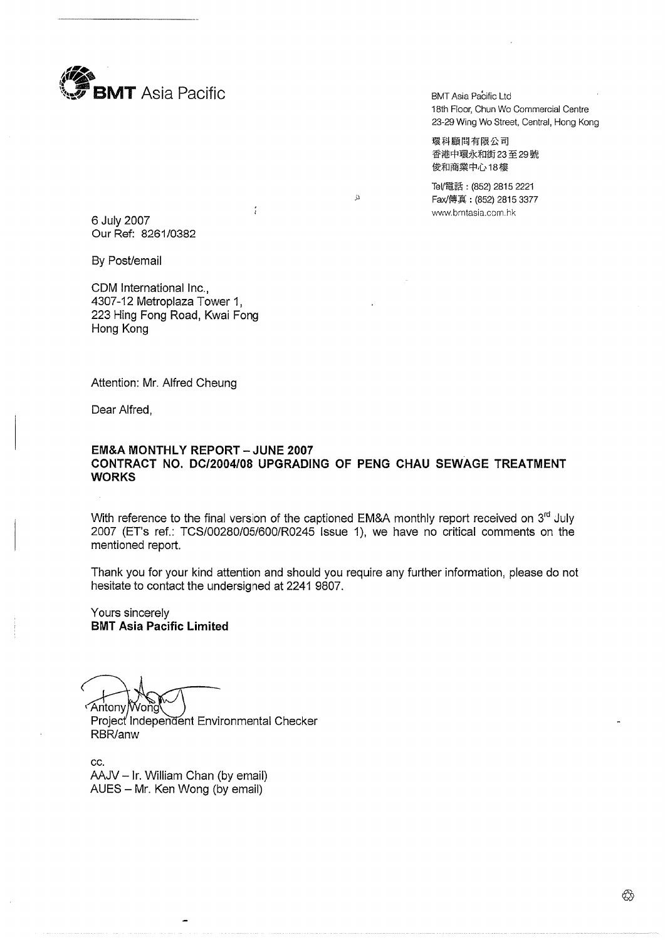

BMT Asia Pacific Ltd 18th Floor, Chun Wo Commercial Centre 23-29 Wing Wo Street, Central, Hong Kong

環科顧問有限公司 香港中環永和街23至29號 俊和商業中心18樓

Tel/電話: (852) 2815 2221 Fax/傅真: (852) 2815 3377 www.bmtasia.com.hk

6 July 2007 Our Ref: 8261/0382

By Post/email

CDM International Inc.. 4307-12 Metroplaza Tower 1, 223 Hing Fong Road, Kwai Fong Hong Kong

Attention: Mr. Alfred Cheung

Dear Alfred,

#### **EM&A MONTHLY REPORT - JUNE 2007** CONTRACT NO. DC/2004/08 UPGRADING OF PENG CHAU SEWAGE TREATMENT **WORKS**

 $\ddot{\Omega}$ 

With reference to the final version of the captioned EM&A monthly report received on 3<sup>rd</sup> July 2007 (ET's ref.: TCS/00280/05/600/R0245 Issue 1), we have no critical comments on the mentioned report.

Thank you for your kind attention and should you require any further information, please do not hesitate to contact the undersigned at 2241 9807.

Yours sincerely **BMT Asia Pacific Limited** 

Antony Wong

Project Independent Environmental Checker RBR/anw

CC. AAJV - Ir. William Chan (by email) AUES - Mr. Ken Wong (by email)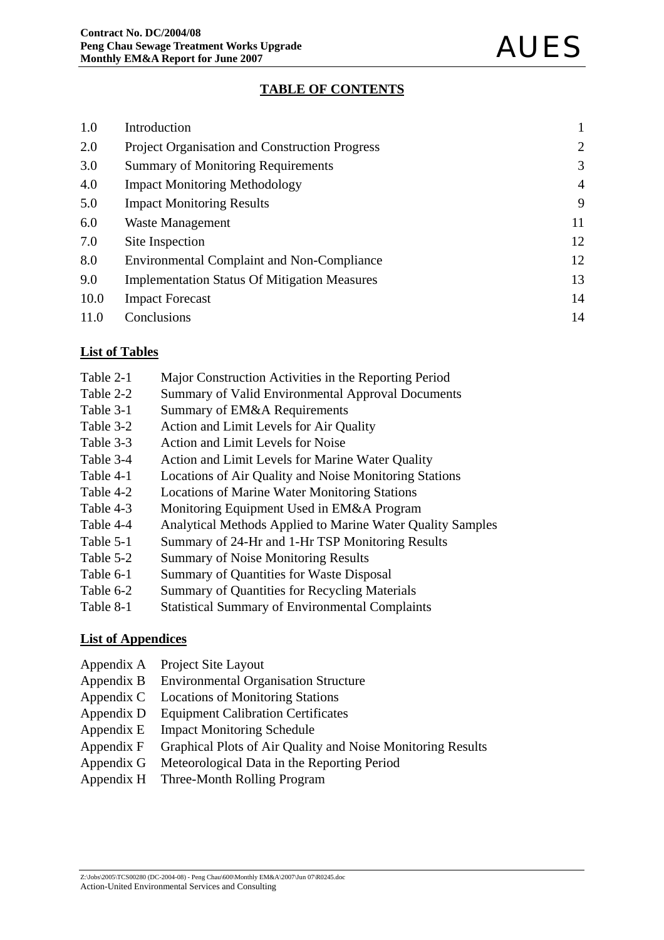### **TABLE OF CONTENTS**

| 1.0  | Introduction                                          |                |
|------|-------------------------------------------------------|----------------|
| 2.0  | <b>Project Organisation and Construction Progress</b> | 2              |
| 3.0  | <b>Summary of Monitoring Requirements</b>             | 3              |
| 4.0  | <b>Impact Monitoring Methodology</b>                  | $\overline{4}$ |
| 5.0  | <b>Impact Monitoring Results</b>                      | 9              |
| 6.0  | Waste Management                                      | 11             |
| 7.0  | Site Inspection                                       | 12             |
| 8.0  | <b>Environmental Complaint and Non-Compliance</b>     | 12             |
| 9.0  | <b>Implementation Status Of Mitigation Measures</b>   | 13             |
| 10.0 | <b>Impact Forecast</b>                                | 14             |
| 11.0 | Conclusions                                           | 14             |

### **List of Tables**

- Table 2-1 Major Construction Activities in the Reporting Period
- Table 2-2 Summary of Valid Environmental Approval Documents
- Table 3-1 Summary of EM&A Requirements
- Table 3-2 Action and Limit Levels for Air Quality
- Table 3-3 Action and Limit Levels for Noise
- Table 3-4 Action and Limit Levels for Marine Water Quality
- Table 4-1 Locations of Air Quality and Noise Monitoring Stations
- Table 4-2 Locations of Marine Water Monitoring Stations
- Table 4-3 Monitoring Equipment Used in EM&A Program
- Table 4-4 Analytical Methods Applied to Marine Water Quality Samples
- Table 5-1 Summary of 24-Hr and 1-Hr TSP Monitoring Results
- Table 5-2 Summary of Noise Monitoring Results
- Table 6-1 Summary of Quantities for Waste Disposal
- Table 6-2 Summary of Quantities for Recycling Materials
- Table 8-1 Statistical Summary of Environmental Complaints

### **List of Appendices**

- Appendix A Project Site Layout
- Appendix B Environmental Organisation Structure
- Appendix C Locations of Monitoring Stations
- Appendix D Equipment Calibration Certificates
- Appendix E Impact Monitoring Schedule
- Appendix F Graphical Plots of Air Quality and Noise Monitoring Results
- Appendix G Meteorological Data in the Reporting Period
- Appendix H Three-Month Rolling Program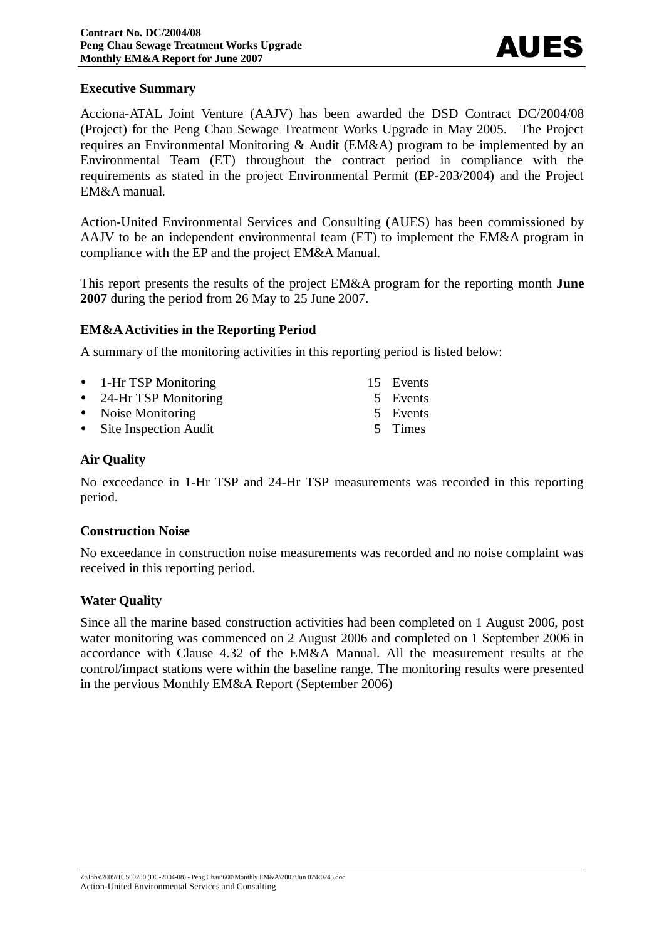#### **Executive Summary**

Acciona-ATAL Joint Venture (AAJV) has been awarded the DSD Contract DC/2004/08 (Project) for the Peng Chau Sewage Treatment Works Upgrade in May 2005. The Project requires an Environmental Monitoring & Audit (EM&A) program to be implemented by an Environmental Team (ET) throughout the contract period in compliance with the requirements as stated in the project Environmental Permit (EP-203/2004) and the Project EM&A manual.

Action-United Environmental Services and Consulting (AUES) has been commissioned by AAJV to be an independent environmental team (ET) to implement the EM&A program in compliance with the EP and the project EM&A Manual.

This report presents the results of the project EM&A program for the reporting month **June 2007** during the period from 26 May to 25 June 2007.

### **EM&A Activities in the Reporting Period**

A summary of the monitoring activities in this reporting period is listed below:

| • 1-Hr TSP Monitoring   | 15 Events |
|-------------------------|-----------|
| • 24-Hr TSP Monitoring  | 5 Events  |
| • Noise Monitoring      | 5 Events  |
| • Site Inspection Audit | 5 Times   |

### **Air Quality**

No exceedance in 1-Hr TSP and 24-Hr TSP measurements was recorded in this reporting period.

#### **Construction Noise**

No exceedance in construction noise measurements was recorded and no noise complaint was received in this reporting period.

#### **Water Quality**

Since all the marine based construction activities had been completed on 1 August 2006, post water monitoring was commenced on 2 August 2006 and completed on 1 September 2006 in accordance with Clause 4.32 of the EM&A Manual. All the measurement results at the control/impact stations were within the baseline range. The monitoring results were presented in the pervious Monthly EM&A Report (September 2006)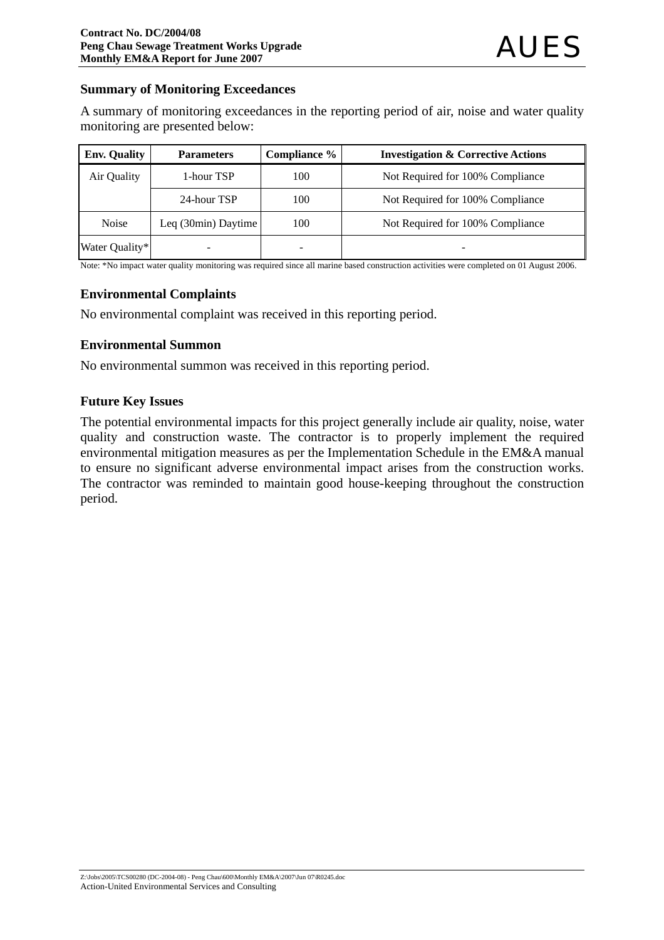### **Summary of Monitoring Exceedances**

A summary of monitoring exceedances in the reporting period of air, noise and water quality monitoring are presented below:

| <b>Env. Quality</b> | <b>Parameters</b>   | Compliance % | <b>Investigation &amp; Corrective Actions</b> |
|---------------------|---------------------|--------------|-----------------------------------------------|
| Air Quality         | 1-hour TSP          | 100          | Not Required for 100% Compliance              |
|                     | 24-hour TSP         | 100          | Not Required for 100% Compliance              |
| <b>Noise</b>        | Leq (30min) Daytime | 100          | Not Required for 100% Compliance              |
| Water Quality*      |                     |              |                                               |

Note: \*No impact water quality monitoring was required since all marine based construction activities were completed on 01 August 2006.

#### **Environmental Complaints**

No environmental complaint was received in this reporting period.

### **Environmental Summon**

No environmental summon was received in this reporting period.

### **Future Key Issues**

The potential environmental impacts for this project generally include air quality, noise, water quality and construction waste. The contractor is to properly implement the required environmental mitigation measures as per the Implementation Schedule in the EM&A manual to ensure no significant adverse environmental impact arises from the construction works. The contractor was reminded to maintain good house-keeping throughout the construction period.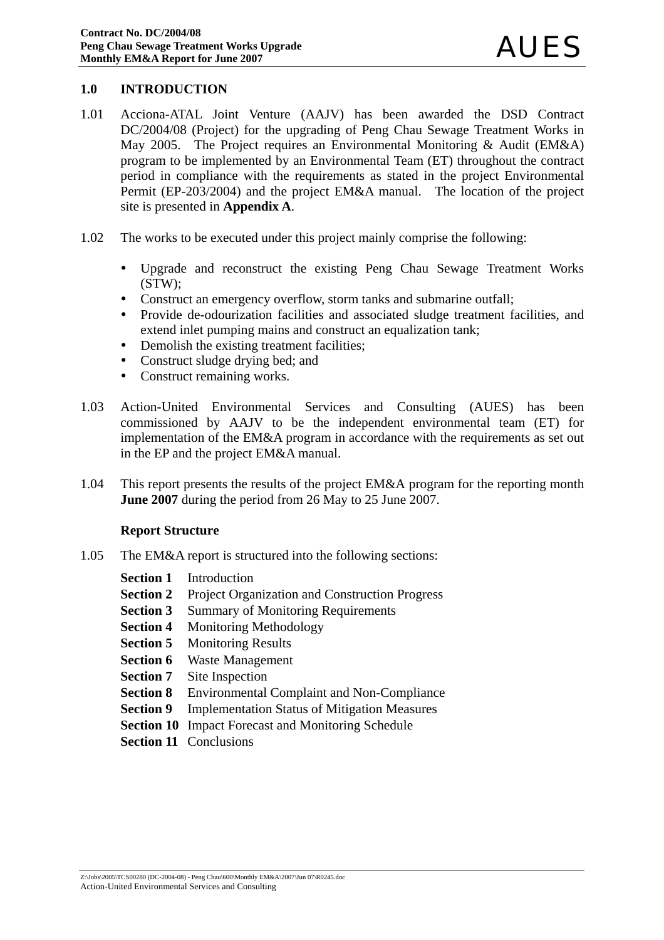#### **1.0 INTRODUCTION**

- 1.01 Acciona-ATAL Joint Venture (AAJV) has been awarded the DSD Contract DC/2004/08 (Project) for the upgrading of Peng Chau Sewage Treatment Works in May 2005. The Project requires an Environmental Monitoring & Audit (EM&A) program to be implemented by an Environmental Team (ET) throughout the contract period in compliance with the requirements as stated in the project Environmental Permit (EP-203/2004) and the project EM&A manual. The location of the project site is presented in **Appendix A**.
- 1.02 The works to be executed under this project mainly comprise the following:
	- Upgrade and reconstruct the existing Peng Chau Sewage Treatment Works (STW);
	- Construct an emergency overflow, storm tanks and submarine outfall;
	- Provide de-odourization facilities and associated sludge treatment facilities, and extend inlet pumping mains and construct an equalization tank;
	- Demolish the existing treatment facilities;
	- Construct sludge drying bed; and
	- Construct remaining works.
- 1.03 Action-United Environmental Services and Consulting (AUES) has been commissioned by AAJV to be the independent environmental team (ET) for implementation of the EM&A program in accordance with the requirements as set out in the EP and the project EM&A manual.
- 1.04 This report presents the results of the project EM&A program for the reporting month **June 2007** during the period from 26 May to 25 June 2007.

#### **Report Structure**

- 1.05 The EM&A report is structured into the following sections:
	- **Section 1** Introduction
	- **Section 2** Project Organization and Construction Progress
	- **Section 3** Summary of Monitoring Requirements
	- **Section 4** Monitoring Methodology
	- **Section 5** Monitoring Results
	- **Section 6** Waste Management
	- **Section 7** Site Inspection
	- **Section 8** Environmental Complaint and Non-Compliance
	- **Section 9** Implementation Status of Mitigation Measures
	- **Section 10** Impact Forecast and Monitoring Schedule
	- **Section 11 Conclusions**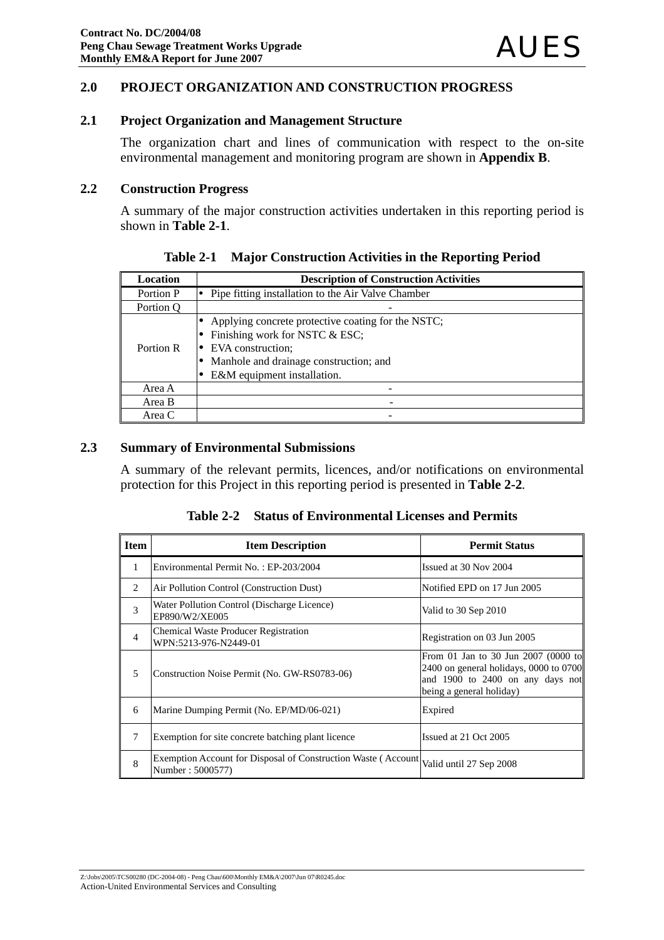### **2.0 PROJECT ORGANIZATION AND CONSTRUCTION PROGRESS**

### **2.1 Project Organization and Management Structure**

The organization chart and lines of communication with respect to the on-site environmental management and monitoring program are shown in **Appendix B**.

#### **2.2 Construction Progress**

A summary of the major construction activities undertaken in this reporting period is shown in **Table 2-1**.

| Location  | <b>Description of Construction Activities</b>                                                                                                                                      |
|-----------|------------------------------------------------------------------------------------------------------------------------------------------------------------------------------------|
| Portion P | Pipe fitting installation to the Air Valve Chamber                                                                                                                                 |
| Portion O |                                                                                                                                                                                    |
| Portion R | Applying concrete protective coating for the NSTC;<br>Finishing work for NSTC & ESC;<br>EVA construction;<br>Manhole and drainage construction; and<br>E&M equipment installation. |
| Area A    |                                                                                                                                                                                    |
| Area B    |                                                                                                                                                                                    |
| Area C    |                                                                                                                                                                                    |

**Table 2-1 Major Construction Activities in the Reporting Period**

### **2.3 Summary of Environmental Submissions**

A summary of the relevant permits, licences, and/or notifications on environmental protection for this Project in this reporting period is presented in **Table 2-2***.* 

**Table 2-2 Status of Environmental Licenses and Permits** 

| <b>Item</b>    | <b>Item Description</b>                                                            | <b>Permit Status</b>                                                                                                                            |
|----------------|------------------------------------------------------------------------------------|-------------------------------------------------------------------------------------------------------------------------------------------------|
| $\mathbf{1}$   | Environmental Permit No.: EP-203/2004                                              | Issued at 30 Nov 2004                                                                                                                           |
| $\mathfrak{D}$ | Air Pollution Control (Construction Dust)                                          | Notified EPD on 17 Jun 2005                                                                                                                     |
| 3              | Water Pollution Control (Discharge Licence)<br>EP890/W2/XE005                      | Valid to 30 Sep 2010                                                                                                                            |
| $\overline{4}$ | <b>Chemical Waste Producer Registration</b><br>WPN:5213-976-N2449-01               | Registration on 03 Jun 2005                                                                                                                     |
| 5              | Construction Noise Permit (No. GW-RS0783-06)                                       | From 01 Jan to 30 Jun 2007 (0000 to<br>$2400$ on general holidays, 0000 to 0700<br>and 1900 to 2400 on any days not<br>being a general holiday) |
| 6              | Marine Dumping Permit (No. EP/MD/06-021)                                           | Expired                                                                                                                                         |
| 7              | Exemption for site concrete batching plant licence                                 | Issued at 21 Oct 2005                                                                                                                           |
| 8              | Exemption Account for Disposal of Construction Waste (Account)<br>Number: 5000577) | Valid until 27 Sep 2008                                                                                                                         |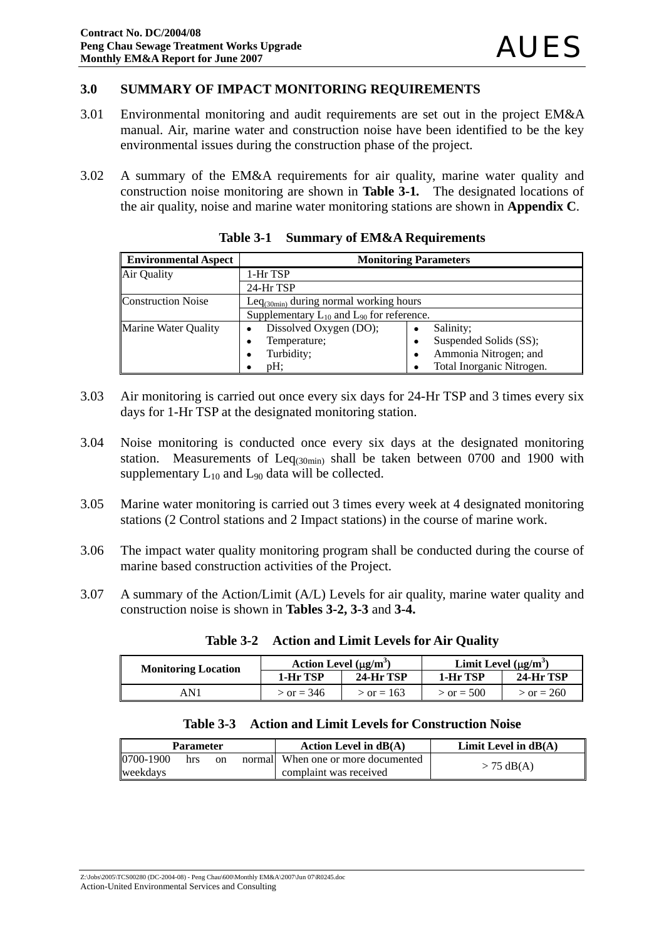#### **3.0 SUMMARY OF IMPACT MONITORING REQUIREMENTS**

- 3.01 Environmental monitoring and audit requirements are set out in the project EM&A manual. Air, marine water and construction noise have been identified to be the key environmental issues during the construction phase of the project.
- 3.02 A summary of the EM&A requirements for air quality, marine water quality and construction noise monitoring are shown in **Table 3-1***.* The designated locations of the air quality, noise and marine water monitoring stations are shown in **Appendix C**.

| <b>Environmental Aspect</b> | <b>Monitoring Parameters</b>                       |                             |  |
|-----------------------------|----------------------------------------------------|-----------------------------|--|
| Air Quality                 | 1-Hr TSP                                           |                             |  |
|                             | 24-Hr TSP                                          |                             |  |
| <b>Construction Noise</b>   | Le $q_{(30min)}$ during normal working hours       |                             |  |
|                             | Supplementary $L_{10}$ and $L_{90}$ for reference. |                             |  |
| <b>Marine Water Quality</b> | Dissolved Oxygen (DO);                             | Salinity;<br>$\bullet$      |  |
|                             | Temperature;<br>٠                                  | Suspended Solids (SS);<br>٠ |  |
|                             | Turbidity;                                         | Ammonia Nitrogen; and<br>٠  |  |
|                             | $pH$ :                                             | Total Inorganic Nitrogen.   |  |

**Table 3-1 Summary of EM&A Requirements**

- 3.03 Air monitoring is carried out once every six days for 24-Hr TSP and 3 times every six days for 1-Hr TSP at the designated monitoring station.
- 3.04 Noise monitoring is conducted once every six days at the designated monitoring station. Measurements of  $Leq<sub>(30min)</sub>$  shall be taken between 0700 and 1900 with supplementary  $L_{10}$  and  $L_{90}$  data will be collected.
- 3.05 Marine water monitoring is carried out 3 times every week at 4 designated monitoring stations (2 Control stations and 2 Impact stations) in the course of marine work.
- 3.06 The impact water quality monitoring program shall be conducted during the course of marine based construction activities of the Project.
- 3.07 A summary of the Action/Limit (A/L) Levels for air quality, marine water quality and construction noise is shown in **Tables 3-2, 3-3** and **3-4.**

| <b>Monitoring Location</b> | Action Level $(\mu g/m^3)$ |              | Limit Level $(\mu g/m^3)$ |                  |
|----------------------------|----------------------------|--------------|---------------------------|------------------|
|                            | 1-Hr TSP                   | 24-Hr TSP    | 1-Hr TSP                  | <b>24-Hr TSP</b> |
| AN 1                       | $>$ or = 346               | $>$ or = 163 | $>$ or = 500              | $>$ or = 260     |

**Table 3-2 Action and Limit Levels for Air Quality**

#### **Table 3-3 Action and Limit Levels for Construction Noise**

| <b>Parameter</b> |     |    | Action Level in $dB(A)$            | Limit Level in $dB(A)$ |
|------------------|-----|----|------------------------------------|------------------------|
| 0700-1900        | hrs | on | normal When one or more documented | $>$ 75 dB(A)           |
| weekdavs         |     |    | complaint was received             |                        |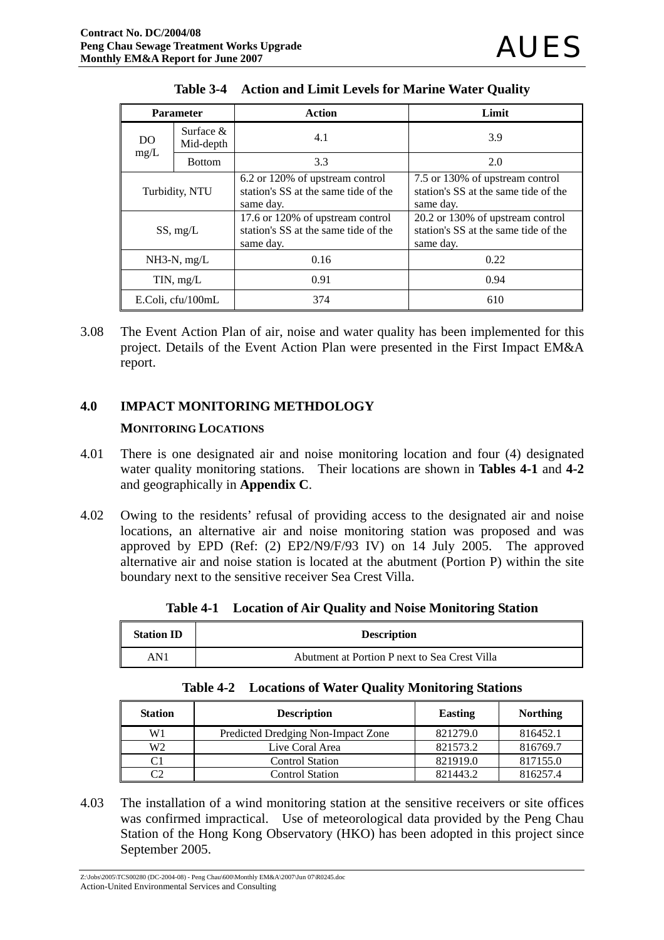| <b>Parameter</b>      |                           | Action                                                                                | Limit                                                                                 |
|-----------------------|---------------------------|---------------------------------------------------------------------------------------|---------------------------------------------------------------------------------------|
| DO                    | Surface $\&$<br>Mid-depth | 4.1                                                                                   | 3.9                                                                                   |
| mg/L<br><b>Bottom</b> |                           | 3.3                                                                                   | 2.0                                                                                   |
| Turbidity, NTU        |                           | 6.2 or 120% of upstream control<br>station's SS at the same tide of the<br>same day.  | 7.5 or 130% of upstream control<br>station's SS at the same tide of the<br>same day.  |
| SS, mg/L              |                           | 17.6 or 120% of upstream control<br>station's SS at the same tide of the<br>same day. | 20.2 or 130% of upstream control<br>station's SS at the same tide of the<br>same day. |
| $NH3-N$ , mg/L        |                           | 0.16                                                                                  | 0.22                                                                                  |
| TIN, mg/L             |                           | 0.91                                                                                  | 0.94                                                                                  |
| E.Coli, cfu/100mL     |                           | 374                                                                                   | 610                                                                                   |

|  |  |  |  | Table 3-4 Action and Limit Levels for Marine Water Quality |
|--|--|--|--|------------------------------------------------------------|
|--|--|--|--|------------------------------------------------------------|

3.08 The Event Action Plan of air, noise and water quality has been implemented for this project. Details of the Event Action Plan were presented in the First Impact EM&A report.

### **4.0 IMPACT MONITORING METHDOLOGY**

### **MONITORING LOCATIONS**

- 4.01 There is one designated air and noise monitoring location and four (4) designated water quality monitoring stations. Their locations are shown in **Tables 4-1** and **4-2** and geographically in **Appendix C**.
- 4.02 Owing to the residents' refusal of providing access to the designated air and noise locations, an alternative air and noise monitoring station was proposed and was approved by EPD (Ref: (2) EP2/N9/F/93 IV) on 14 July 2005. The approved alternative air and noise station is located at the abutment (Portion P) within the site boundary next to the sensitive receiver Sea Crest Villa.

| <b>Station ID</b> | <b>Description</b>                            |
|-------------------|-----------------------------------------------|
| AN1               | Abutment at Portion P next to Sea Crest Villa |

|  |  |  | Table 4-1 Location of Air Quality and Noise Monitoring Station |
|--|--|--|----------------------------------------------------------------|
|--|--|--|----------------------------------------------------------------|

|  | <b>Table 4-2 Locations of Water Quality Monitoring Stations</b> |  |  |  |
|--|-----------------------------------------------------------------|--|--|--|
|--|-----------------------------------------------------------------|--|--|--|

| <b>Station</b> | <b>Description</b>                 | Easting  | <b>Northing</b> |
|----------------|------------------------------------|----------|-----------------|
| W1             | Predicted Dredging Non-Impact Zone | 821279.0 | 816452.1        |
| W <sub>2</sub> | Live Coral Area                    | 821573.2 | 816769.7        |
| C1             | <b>Control Station</b>             | 821919.0 | 817155.0        |
| C2             | <b>Control Station</b>             | 821443.2 | 816257.4        |

4.03 The installation of a wind monitoring station at the sensitive receivers or site offices was confirmed impractical. Use of meteorological data provided by the Peng Chau Station of the Hong Kong Observatory (HKO) has been adopted in this project since September 2005.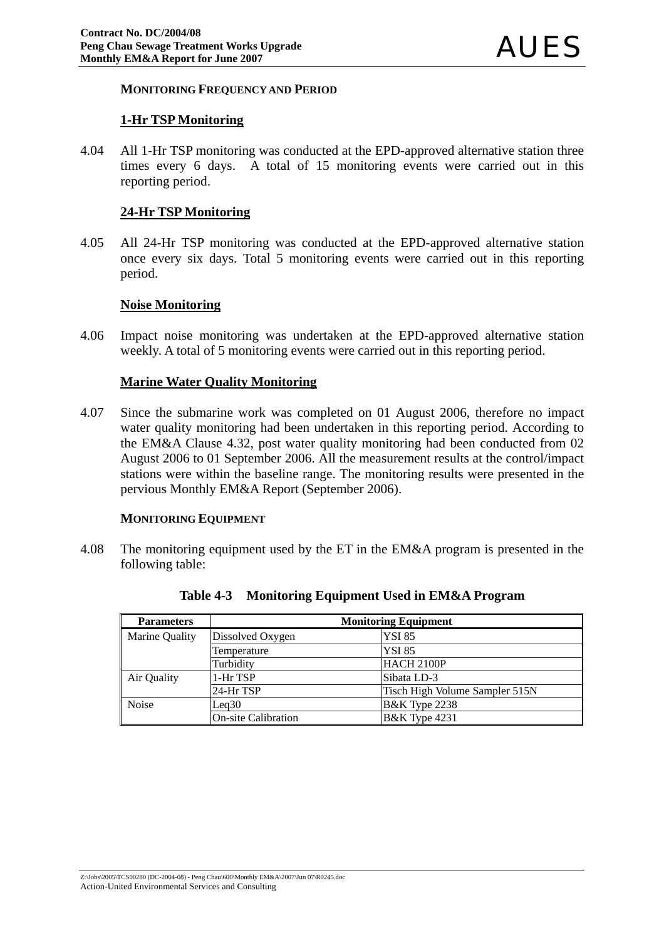#### **MONITORING FREQUENCY AND PERIOD**

#### **1-Hr TSP Monitoring**

4.04 All 1-Hr TSP monitoring was conducted at the EPD-approved alternative station three times every 6 days. A total of 15 monitoring events were carried out in this reporting period.

#### **24-Hr TSP Monitoring**

4.05 All 24-Hr TSP monitoring was conducted at the EPD-approved alternative station once every six days. Total 5 monitoring events were carried out in this reporting period.

#### **Noise Monitoring**

4.06 Impact noise monitoring was undertaken at the EPD-approved alternative station weekly. A total of 5 monitoring events were carried out in this reporting period.

#### **Marine Water Quality Monitoring**

4.07 Since the submarine work was completed on 01 August 2006, therefore no impact water quality monitoring had been undertaken in this reporting period. According to the EM&A Clause 4.32, post water quality monitoring had been conducted from 02 August 2006 to 01 September 2006. All the measurement results at the control/impact stations were within the baseline range. The monitoring results were presented in the pervious Monthly EM&A Report (September 2006).

#### **MONITORING EQUIPMENT**

4.08 The monitoring equipment used by the ET in the EM&A program is presented in the following table:

| <b>Parameters</b> | <b>Monitoring Equipment</b> |                                |  |  |  |
|-------------------|-----------------------------|--------------------------------|--|--|--|
| Marine Quality    | Dissolved Oxygen            | <b>YSI 85</b>                  |  |  |  |
|                   | Temperature                 | <b>YSI 85</b>                  |  |  |  |
|                   | Turbidity                   | HACH 2100P                     |  |  |  |
| Air Quality       | 1-Hr TSP                    | Sibata LD-3                    |  |  |  |
|                   | 24-Hr TSP                   | Tisch High Volume Sampler 515N |  |  |  |
| <b>Noise</b>      | Leq30                       | <b>B&amp;K</b> Type 2238       |  |  |  |
|                   | <b>On-site Calibration</b>  | <b>B&amp;K</b> Type 4231       |  |  |  |

|  |  |  | Table 4-3 Monitoring Equipment Used in EM&A Program |
|--|--|--|-----------------------------------------------------|
|--|--|--|-----------------------------------------------------|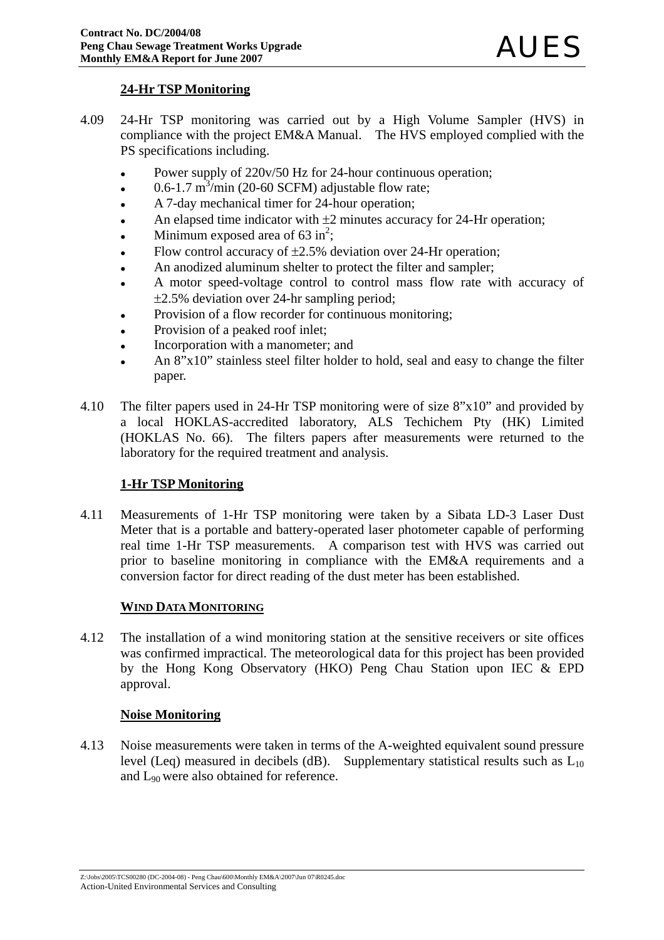### **24-Hr TSP Monitoring**

- 4.09 24-Hr TSP monitoring was carried out by a High Volume Sampler (HVS) in compliance with the project EM&A Manual. The HVS employed complied with the PS specifications including.
	- Power supply of 220v/50 Hz for 24-hour continuous operation;
	- $\cdot$  0.6-1.7 m<sup>3</sup>/min (20-60 SCFM) adjustable flow rate;
	- A 7-day mechanical timer for 24-hour operation;
	- An elapsed time indicator with  $\pm 2$  minutes accuracy for 24-Hr operation;
	- Minimum exposed area of  $63 \text{ in}^2$ ;
	- Flow control accuracy of  $\pm 2.5\%$  deviation over 24-Hr operation;
	- An anodized aluminum shelter to protect the filter and sampler;
	- A motor speed-voltage control to control mass flow rate with accuracy of ±2.5% deviation over 24-hr sampling period;
	- Provision of a flow recorder for continuous monitoring;
	- Provision of a peaked roof inlet;
	- Incorporation with a manometer; and
	- An 8"x10" stainless steel filter holder to hold, seal and easy to change the filter paper.
- 4.10 The filter papers used in 24-Hr TSP monitoring were of size 8"x10" and provided by a local HOKLAS-accredited laboratory, ALS Techichem Pty (HK) Limited (HOKLAS No. 66). The filters papers after measurements were returned to the laboratory for the required treatment and analysis.

## **1-Hr TSP Monitoring**

4.11 Measurements of 1-Hr TSP monitoring were taken by a Sibata LD-3 Laser Dust Meter that is a portable and battery-operated laser photometer capable of performing real time 1-Hr TSP measurements. A comparison test with HVS was carried out prior to baseline monitoring in compliance with the EM&A requirements and a conversion factor for direct reading of the dust meter has been established.

### **WIND DATA MONITORING**

4.12 The installation of a wind monitoring station at the sensitive receivers or site offices was confirmed impractical. The meteorological data for this project has been provided by the Hong Kong Observatory (HKO) Peng Chau Station upon IEC & EPD approval.

#### **Noise Monitoring**

4.13 Noise measurements were taken in terms of the A-weighted equivalent sound pressure level (Leq) measured in decibels (dB). Supplementary statistical results such as  $L_{10}$ and L90 were also obtained for reference.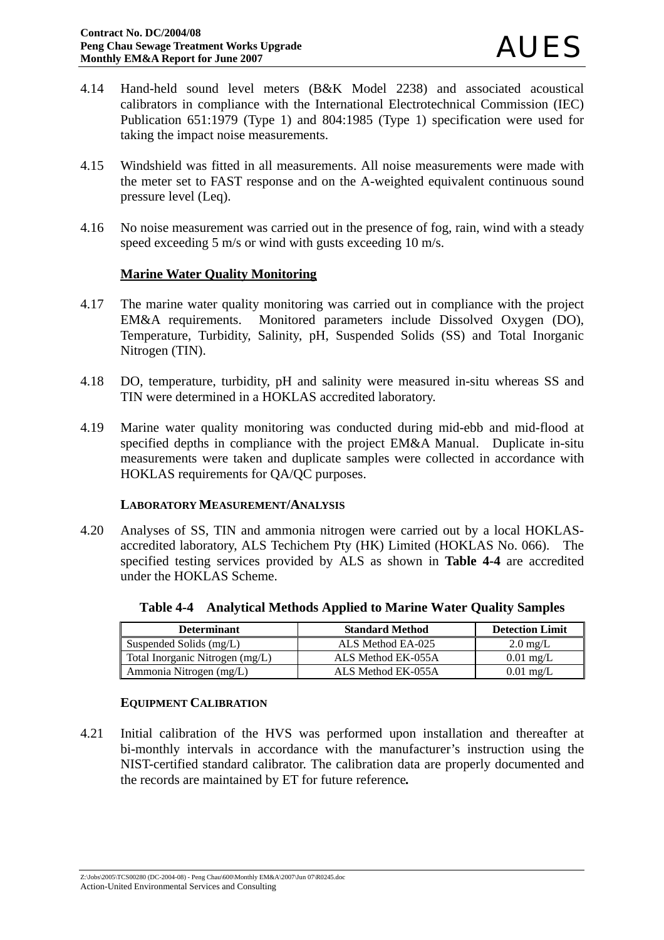- 4.14 Hand-held sound level meters (B&K Model 2238) and associated acoustical calibrators in compliance with the International Electrotechnical Commission (IEC) Publication 651:1979 (Type 1) and 804:1985 (Type 1) specification were used for taking the impact noise measurements.
- 4.15 Windshield was fitted in all measurements. All noise measurements were made with the meter set to FAST response and on the A-weighted equivalent continuous sound pressure level (Leq).
- 4.16 No noise measurement was carried out in the presence of fog, rain, wind with a steady speed exceeding 5 m/s or wind with gusts exceeding 10 m/s.

### **Marine Water Quality Monitoring**

- 4.17 The marine water quality monitoring was carried out in compliance with the project EM&A requirements. Monitored parameters include Dissolved Oxygen (DO), Temperature, Turbidity, Salinity, pH, Suspended Solids (SS) and Total Inorganic Nitrogen (TIN).
- 4.18 DO, temperature, turbidity, pH and salinity were measured in-situ whereas SS and TIN were determined in a HOKLAS accredited laboratory.
- 4.19 Marine water quality monitoring was conducted during mid-ebb and mid-flood at specified depths in compliance with the project EM&A Manual. Duplicate in-situ measurements were taken and duplicate samples were collected in accordance with HOKLAS requirements for QA/QC purposes.

#### **LABORATORY MEASUREMENT/ANALYSIS**

4.20 Analyses of SS, TIN and ammonia nitrogen were carried out by a local HOKLASaccredited laboratory, ALS Techichem Pty (HK) Limited (HOKLAS No. 066). The specified testing services provided by ALS as shown in **Table 4-4** are accredited under the HOKLAS Scheme.

| <b>Determinant</b>              | <b>Standard Method</b> | <b>Detection Limit</b> |
|---------------------------------|------------------------|------------------------|
| Suspended Solids (mg/L)         | ALS Method EA-025      | $2.0 \text{ mg/L}$     |
| Total Inorganic Nitrogen (mg/L) | ALS Method EK-055A     | $0.01 \text{ mg/L}$    |
| Ammonia Nitrogen (mg/L)         | ALS Method EK-055A     | $0.01 \text{ mg/L}$    |

**Table 4-4 Analytical Methods Applied to Marine Water Quality Samples**

### **EQUIPMENT CALIBRATION**

4.21 Initial calibration of the HVS was performed upon installation and thereafter at bi-monthly intervals in accordance with the manufacturer's instruction using the NIST-certified standard calibrator. The calibration data are properly documented and the records are maintained by ET for future reference*.*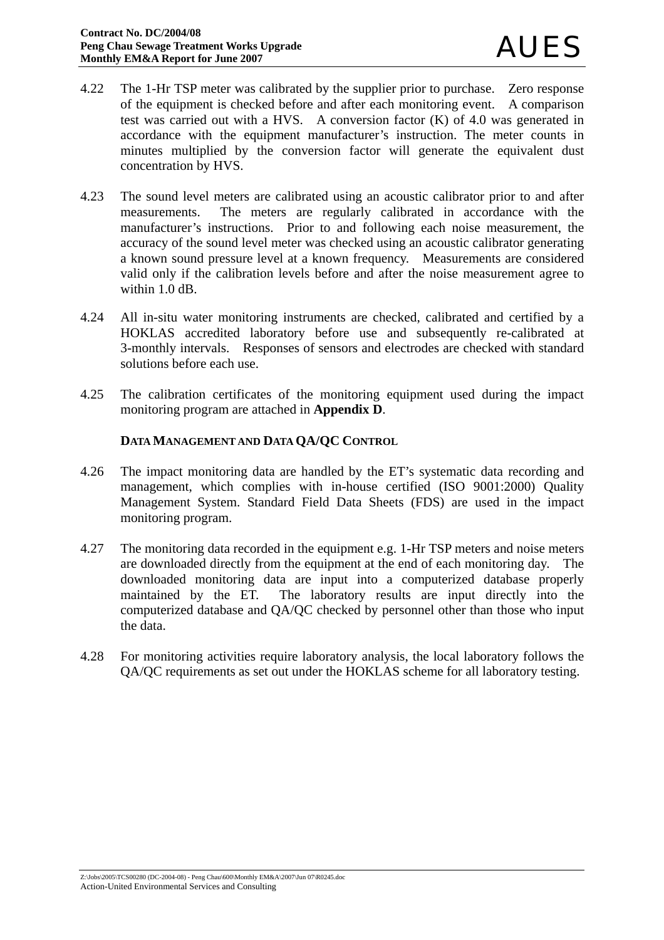- 4.22 The 1-Hr TSP meter was calibrated by the supplier prior to purchase. Zero response of the equipment is checked before and after each monitoring event. A comparison test was carried out with a HVS. A conversion factor (K) of 4.0 was generated in accordance with the equipment manufacturer's instruction. The meter counts in minutes multiplied by the conversion factor will generate the equivalent dust concentration by HVS.
- 4.23 The sound level meters are calibrated using an acoustic calibrator prior to and after measurements. The meters are regularly calibrated in accordance with the manufacturer's instructions. Prior to and following each noise measurement, the accuracy of the sound level meter was checked using an acoustic calibrator generating a known sound pressure level at a known frequency. Measurements are considered valid only if the calibration levels before and after the noise measurement agree to within 1.0 dB.
- 4.24 All in-situ water monitoring instruments are checked, calibrated and certified by a HOKLAS accredited laboratory before use and subsequently re-calibrated at 3-monthly intervals. Responses of sensors and electrodes are checked with standard solutions before each use.
- 4.25 The calibration certificates of the monitoring equipment used during the impact monitoring program are attached in **Appendix D**.

### **DATA MANAGEMENT AND DATA QA/QC CONTROL**

- 4.26 The impact monitoring data are handled by the ET's systematic data recording and management, which complies with in-house certified (ISO 9001:2000) Quality Management System. Standard Field Data Sheets (FDS) are used in the impact monitoring program.
- 4.27 The monitoring data recorded in the equipment e.g. 1-Hr TSP meters and noise meters are downloaded directly from the equipment at the end of each monitoring day. The downloaded monitoring data are input into a computerized database properly maintained by the ET. The laboratory results are input directly into the computerized database and QA/QC checked by personnel other than those who input the data.
- 4.28 For monitoring activities require laboratory analysis, the local laboratory follows the QA/QC requirements as set out under the HOKLAS scheme for all laboratory testing.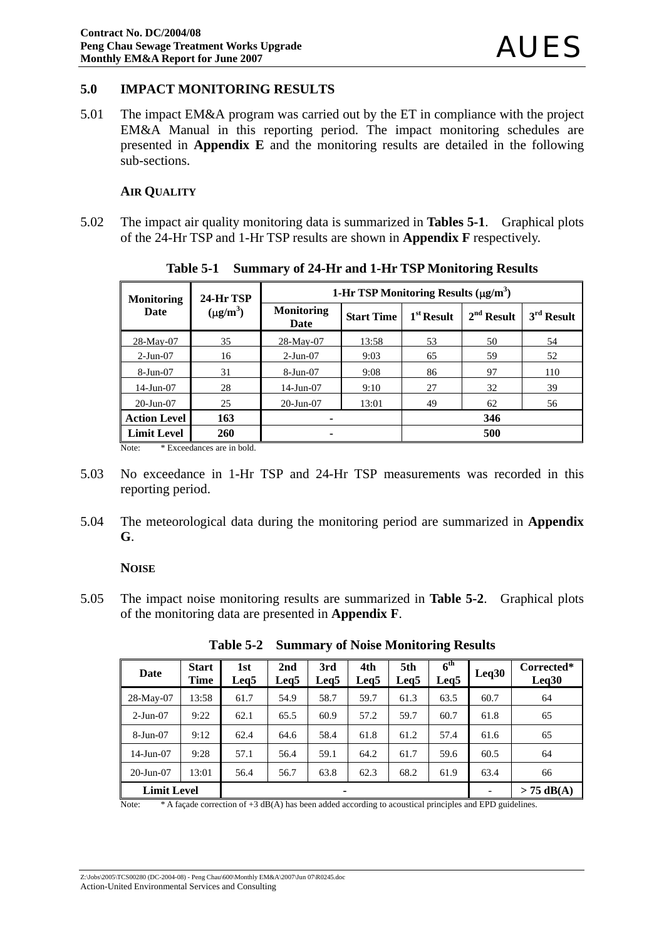### **5.0 IMPACT MONITORING RESULTS**

5.01 The impact EM&A program was carried out by the ET in compliance with the project EM&A Manual in this reporting period. The impact monitoring schedules are presented in **Appendix E** and the monitoring results are detailed in the following sub-sections.

#### **AIR QUALITY**

5.02 The impact air quality monitoring data is summarized in **Tables 5-1**. Graphical plots of the 24-Hr TSP and 1-Hr TSP results are shown in **Appendix F** respectively.

| <b>Monitoring</b>   | 24-Hr TSP     | 1-Hr TSP Monitoring Results $(\mu g/m^3)$ |                   |              |              |              |  |
|---------------------|---------------|-------------------------------------------|-------------------|--------------|--------------|--------------|--|
| Date                | $(\mu g/m^3)$ | <b>Monitoring</b><br>Date                 | <b>Start Time</b> | $1st$ Result | $2nd$ Result | $3rd$ Result |  |
| 28-May-07           | 35            | 28-May-07                                 | 13:58             | 53           | 50           | 54           |  |
| $2-Jun-07$          | 16            | $2-Jun-07$                                | 9:03              | 65           | 59           | 52           |  |
| 8-Jun-07            | 31            | 8-Jun-07                                  | 9:08              | 86           | 97           | 110          |  |
| $14$ -Jun-07        | 28            | $14$ -Jun-07                              | 9:10              | 27           | 32           | 39           |  |
| $20$ -Jun- $07$     | 25            | $20$ -Jun- $07$                           | 13:01             | 49           | 62           | 56           |  |
| <b>Action Level</b> | 163           | ۰                                         |                   |              | 346          |              |  |
| <b>Limit Level</b>  | <b>260</b>    | ۰                                         |                   |              | 500          |              |  |

**Table 5-1 Summary of 24-Hr and 1-Hr TSP Monitoring Results** 

Note: \* Exceedances are in bold.

- 5.03 No exceedance in 1-Hr TSP and 24-Hr TSP measurements was recorded in this reporting period.
- 5.04 The meteorological data during the monitoring period are summarized in **Appendix G**.

#### **NOISE**

5.05 The impact noise monitoring results are summarized in **Table 5-2**. Graphical plots of the monitoring data are presented in **Appendix F**.

| Date                    | <b>Start</b><br>Time | 1st<br>Leg <sub>5</sub> | 2nd<br>Leg5 | 3rd<br>Leg5  | 4th<br>Leg5 | 5th<br>Leg5 | $\overline{6}^{\text{th}}$<br>Leq5 | Leq30 | Corrected*<br>Leq30 |
|-------------------------|----------------------|-------------------------|-------------|--------------|-------------|-------------|------------------------------------|-------|---------------------|
| 28-May-07               | 13:58                | 61.7                    | 54.9        | 58.7         | 59.7        | 61.3        | 63.5                               | 60.7  | 64                  |
| $2-Jun-07$              | 9:22                 | 62.1                    | 65.5        | 60.9         | 57.2        | 59.7        | 60.7                               | 61.8  | 65                  |
| 8-Jun-07                | 9:12                 | 62.4                    | 64.6        | 58.4         | 61.8        | 61.2        | 57.4                               | 61.6  | 65                  |
| 14-Jun-07               | 9:28                 | 57.1                    | 56.4        | 59.1         | 64.2        | 61.7        | 59.6                               | 60.5  | 64                  |
| $20$ -Jun- $07$         | 13:01                | 56.4                    | 56.7        | 63.8         | 62.3        | 68.2        | 61.9                               | 63.4  | 66                  |
| <b>Limit Level</b><br>۰ |                      |                         |             | $> 75$ dB(A) |             |             |                                    |       |                     |

**Table 5-2 Summary of Noise Monitoring Results** 

Note: \* A façade correction of +3 dB(A) has been added according to acoustical principles and EPD guidelines.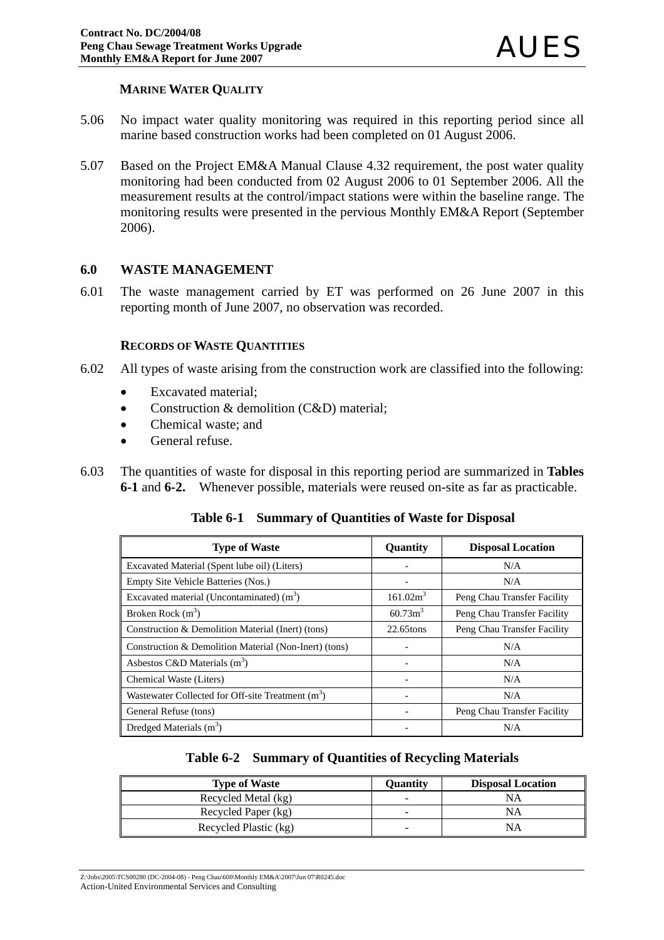### **MARINE WATER QUALITY**

- 5.06 No impact water quality monitoring was required in this reporting period since all marine based construction works had been completed on 01 August 2006.
- 5.07 Based on the Project EM&A Manual Clause 4.32 requirement, the post water quality monitoring had been conducted from 02 August 2006 to 01 September 2006. All the measurement results at the control/impact stations were within the baseline range. The monitoring results were presented in the pervious Monthly EM&A Report (September 2006).

### **6.0 WASTE MANAGEMENT**

6.01 The waste management carried by ET was performed on 26 June 2007 in this reporting month of June 2007, no observation was recorded.

#### **RECORDS OF WASTE QUANTITIES**

- 6.02 All types of waste arising from the construction work are classified into the following:
	- Excavated material;
	- Construction & demolition (C&D) material;
	- Chemical waste: and
	- General refuse.
- 6.03 The quantities of waste for disposal in this reporting period are summarized in **Tables 6-1** and **6-2.**Whenever possible, materials were reused on-site as far as practicable.

**Table 6-1 Summary of Quantities of Waste for Disposal**

| <b>Type of Waste</b>                                  | Quantity             | <b>Disposal Location</b>    |
|-------------------------------------------------------|----------------------|-----------------------------|
| Excavated Material (Spent lube oil) (Liters)          |                      | N/A                         |
| Empty Site Vehicle Batteries (Nos.)                   |                      | N/A                         |
| Excavated material (Uncontaminated) $(m3)$            | 161.02m <sup>3</sup> | Peng Chau Transfer Facility |
| Broken Rock $(m^3)$                                   | 60.73m <sup>3</sup>  | Peng Chau Transfer Facility |
| Construction & Demolition Material (Inert) (tons)     | 22.65tons            | Peng Chau Transfer Facility |
| Construction & Demolition Material (Non-Inert) (tons) |                      | N/A                         |
| Asbestos C&D Materials $(m^3)$                        |                      | N/A                         |
| Chemical Waste (Liters)                               |                      | N/A                         |
| Wastewater Collected for Off-site Treatment $(m^3)$   |                      | N/A                         |
| General Refuse (tons)                                 |                      | Peng Chau Transfer Facility |
| Dredged Materials $(m3)$                              |                      | N/A                         |

| Table 6-2 Summary of Quantities of Recycling Materials |
|--------------------------------------------------------|
|--------------------------------------------------------|

| <b>Type of Waste</b>  | Ouantitv | <b>Disposal Location</b> |
|-----------------------|----------|--------------------------|
| Recycled Metal (kg)   | -        | NΑ                       |
| Recycled Paper (kg)   | -        | NΑ                       |
| Recycled Plastic (kg) | -        | NΑ                       |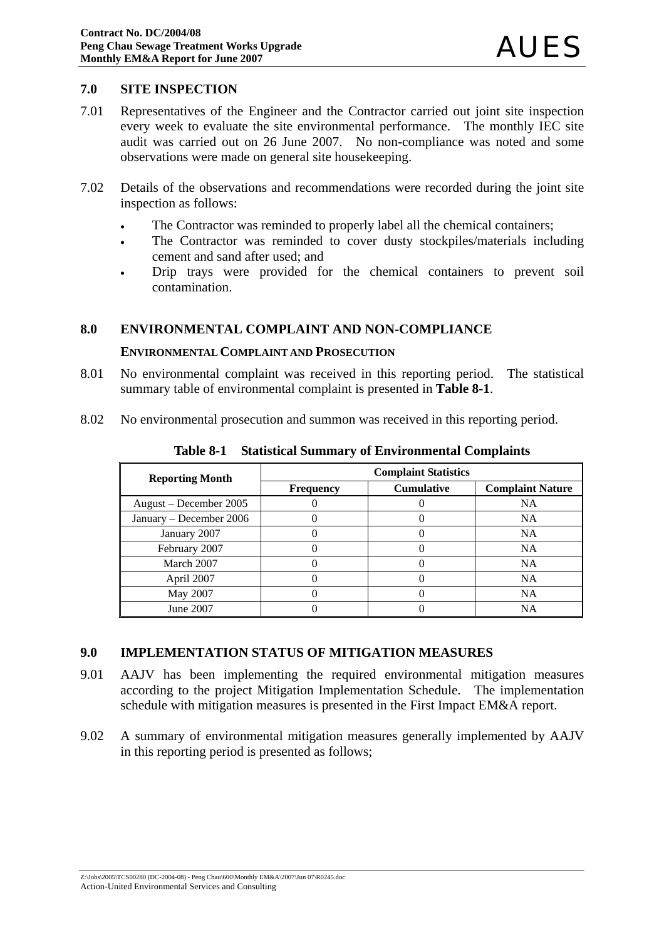#### **7.0 SITE INSPECTION**

- 7.01 Representatives of the Engineer and the Contractor carried out joint site inspection every week to evaluate the site environmental performance. The monthly IEC site audit was carried out on 26 June 2007. No non-compliance was noted and some observations were made on general site housekeeping.
- 7.02 Details of the observations and recommendations were recorded during the joint site inspection as follows:
	- The Contractor was reminded to properly label all the chemical containers;
	- The Contractor was reminded to cover dusty stockpiles/materials including cement and sand after used; and
	- Drip trays were provided for the chemical containers to prevent soil contamination.

### **8.0 ENVIRONMENTAL COMPLAINT AND NON-COMPLIANCE**

#### **ENVIRONMENTAL COMPLAINT AND PROSECUTION**

- 8.01 No environmental complaint was received in this reporting period. The statistical summary table of environmental complaint is presented in **Table 8-1**.
- 8.02 No environmental prosecution and summon was received in this reporting period.

| <b>Reporting Month</b>  | <b>Complaint Statistics</b> |                   |                         |  |  |
|-------------------------|-----------------------------|-------------------|-------------------------|--|--|
|                         | <b>Frequency</b>            | <b>Cumulative</b> | <b>Complaint Nature</b> |  |  |
| August – December 2005  |                             |                   | <b>NA</b>               |  |  |
| January – December 2006 |                             |                   | <b>NA</b>               |  |  |
| January 2007            |                             |                   | <b>NA</b>               |  |  |
| February 2007           |                             |                   | <b>NA</b>               |  |  |
| March 2007              |                             |                   | <b>NA</b>               |  |  |
| April 2007              |                             |                   | <b>NA</b>               |  |  |
| May 2007                |                             |                   | <b>NA</b>               |  |  |
| June 2007               |                             |                   | <b>NA</b>               |  |  |

**Table 8-1 Statistical Summary of Environmental Complaints**

#### **9.0 IMPLEMENTATION STATUS OF MITIGATION MEASURES**

- 9.01 AAJV has been implementing the required environmental mitigation measures according to the project Mitigation Implementation Schedule. The implementation schedule with mitigation measures is presented in the First Impact EM&A report.
- 9.02 A summary of environmental mitigation measures generally implemented by AAJV in this reporting period is presented as follows;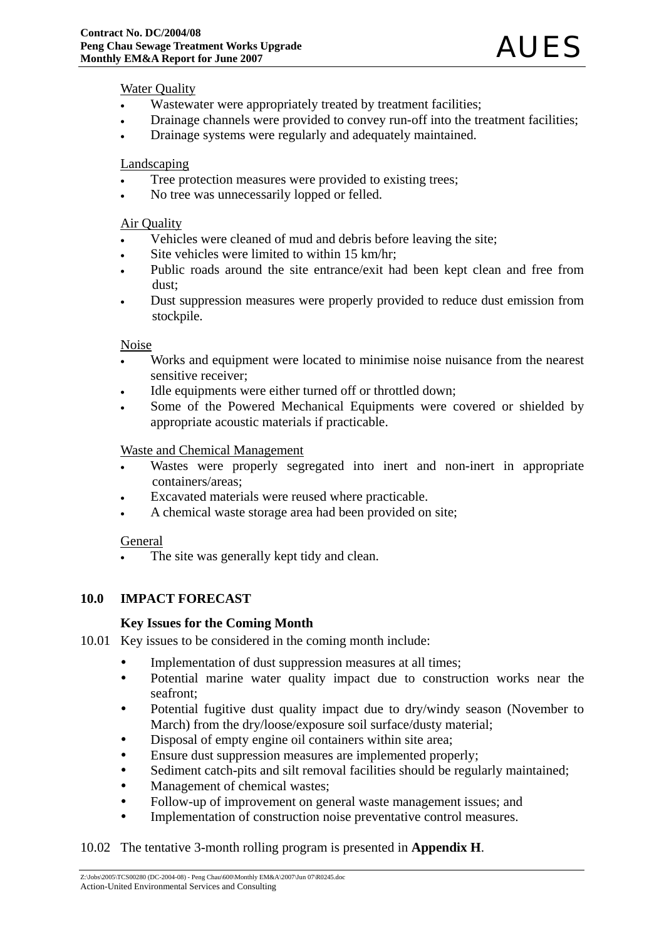#### Water Quality

- Wastewater were appropriately treated by treatment facilities;
- Drainage channels were provided to convey run-off into the treatment facilities;
- Drainage systems were regularly and adequately maintained.

#### Landscaping

- Tree protection measures were provided to existing trees;
- No tree was unnecessarily lopped or felled.

#### Air Quality

- Vehicles were cleaned of mud and debris before leaving the site;
- Site vehicles were limited to within 15 km/hr;
- Public roads around the site entrance/exit had been kept clean and free from dust;
- Dust suppression measures were properly provided to reduce dust emission from stockpile.

#### Noise

- Works and equipment were located to minimise noise nuisance from the nearest sensitive receiver;
- Idle equipments were either turned off or throttled down:
- Some of the Powered Mechanical Equipments were covered or shielded by appropriate acoustic materials if practicable.

#### Waste and Chemical Management

- Wastes were properly segregated into inert and non-inert in appropriate containers/areas;
- Excavated materials were reused where practicable.
- A chemical waste storage area had been provided on site;

#### General

The site was generally kept tidy and clean.

### **10.0 IMPACT FORECAST**

#### **Key Issues for the Coming Month**

- 10.01 Key issues to be considered in the coming month include:
	- Implementation of dust suppression measures at all times;
	- Potential marine water quality impact due to construction works near the seafront;
	- Potential fugitive dust quality impact due to dry/windy season (November to March) from the dry/loose/exposure soil surface/dusty material;
	- Disposal of empty engine oil containers within site area;
	- Ensure dust suppression measures are implemented properly;
	- Sediment catch-pits and silt removal facilities should be regularly maintained;
	- Management of chemical wastes;
	- Follow-up of improvement on general waste management issues; and
	- Implementation of construction noise preventative control measures.

#### 10.02 The tentative 3-month rolling program is presented in **Appendix H**.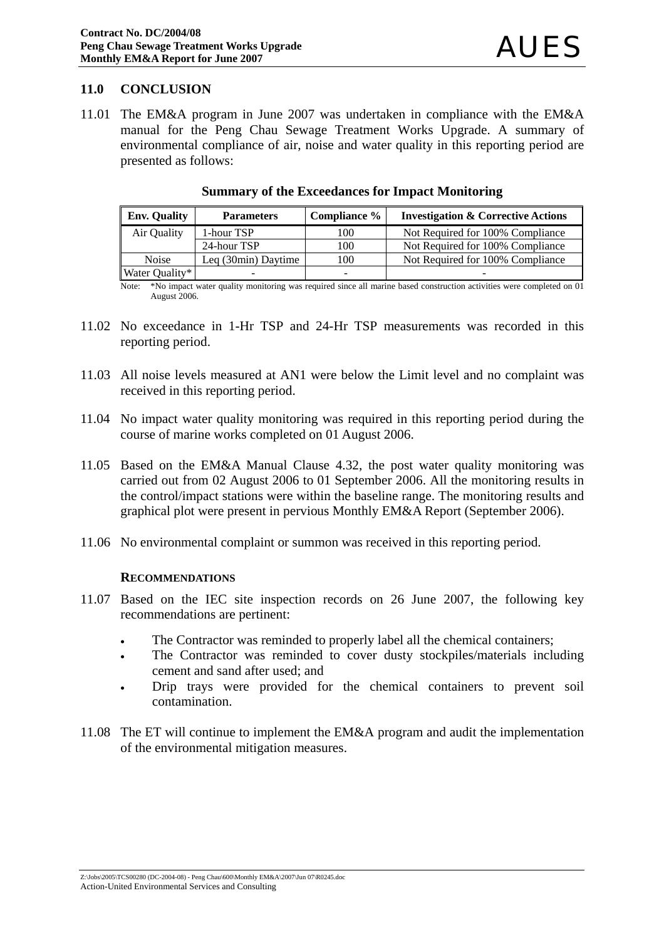### **11.0 CONCLUSION**

11.01 The EM&A program in June 2007 was undertaken in compliance with the EM&A manual for the Peng Chau Sewage Treatment Works Upgrade. A summary of environmental compliance of air, noise and water quality in this reporting period are presented as follows:

| <b>Env. Quality</b> | <b>Parameters</b>   | Compliance %             | <b>Investigation &amp; Corrective Actions</b> |
|---------------------|---------------------|--------------------------|-----------------------------------------------|
| Air Quality         | 1-hour TSP          | 100                      | Not Required for 100% Compliance              |
|                     | 24-hour TSP         | 100                      | Not Required for 100% Compliance              |
| <b>Noise</b>        | Leg (30min) Daytime | 100                      | Not Required for 100% Compliance              |
| Water Quality*      |                     | $\overline{\phantom{a}}$ |                                               |

#### **Summary of the Exceedances for Impact Monitoring**

Note: \*No impact water quality monitoring was required since all marine based construction activities were completed on 01 August 2006.

- 11.02 No exceedance in 1-Hr TSP and 24-Hr TSP measurements was recorded in this reporting period.
- 11.03 All noise levels measured at AN1 were below the Limit level and no complaint was received in this reporting period.
- 11.04 No impact water quality monitoring was required in this reporting period during the course of marine works completed on 01 August 2006.
- 11.05 Based on the EM&A Manual Clause 4.32, the post water quality monitoring was carried out from 02 August 2006 to 01 September 2006. All the monitoring results in the control/impact stations were within the baseline range. The monitoring results and graphical plot were present in pervious Monthly EM&A Report (September 2006).
- 11.06 No environmental complaint or summon was received in this reporting period.

#### **RECOMMENDATIONS**

- 11.07 Based on the IEC site inspection records on 26 June 2007, the following key recommendations are pertinent:
	- The Contractor was reminded to properly label all the chemical containers;
	- The Contractor was reminded to cover dusty stockpiles/materials including cement and sand after used; and
	- Drip trays were provided for the chemical containers to prevent soil contamination.
- 11.08 The ET will continue to implement the EM&A program and audit the implementation of the environmental mitigation measures.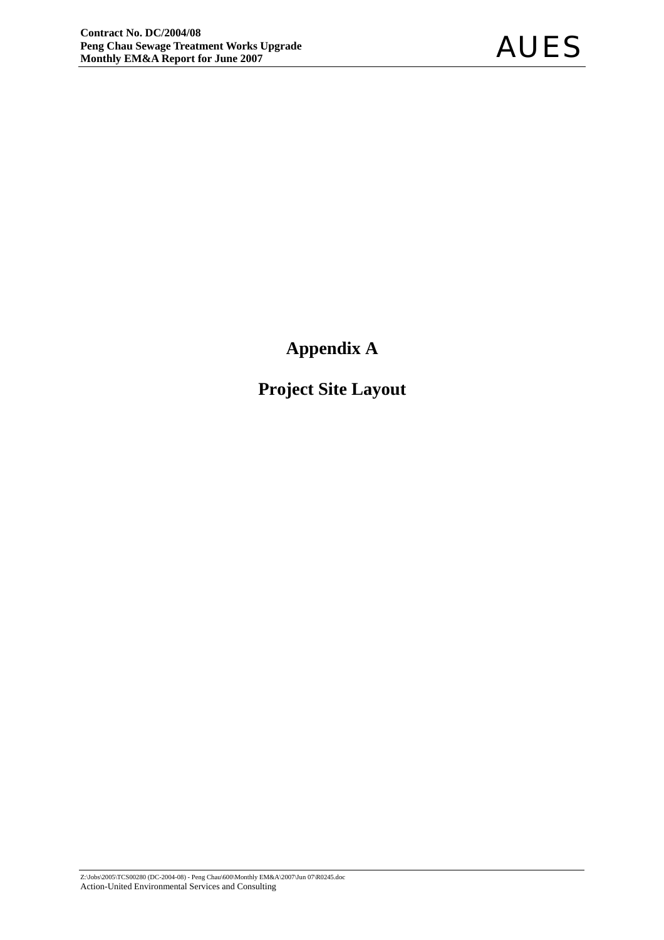**Appendix A** 

**Project Site Layout**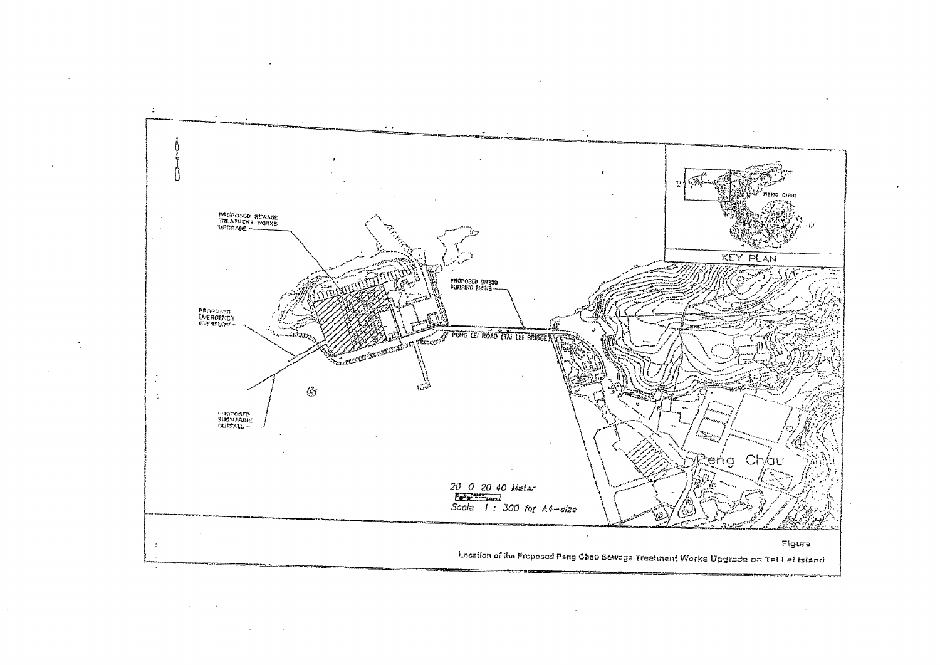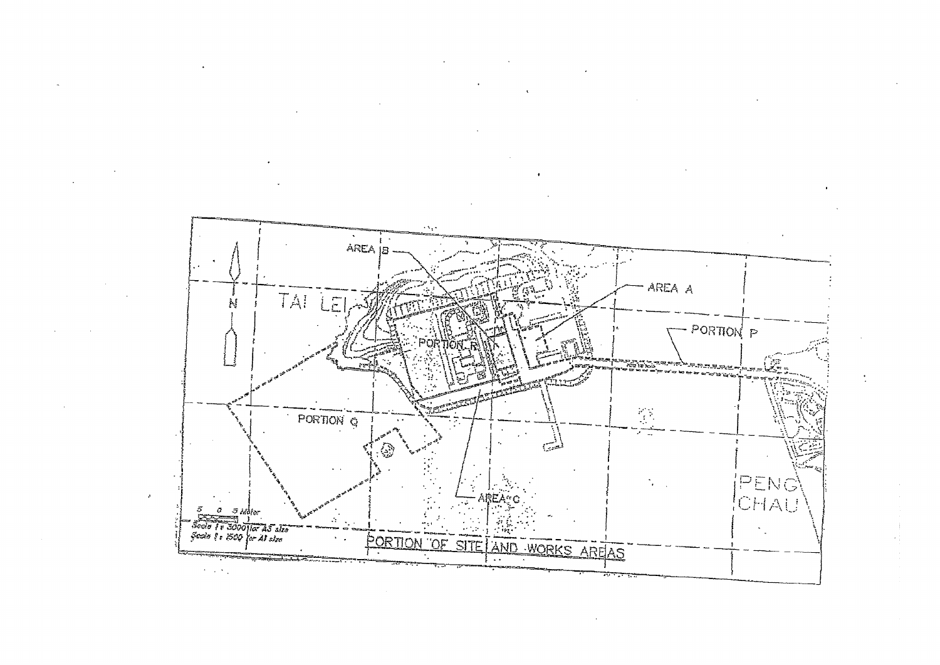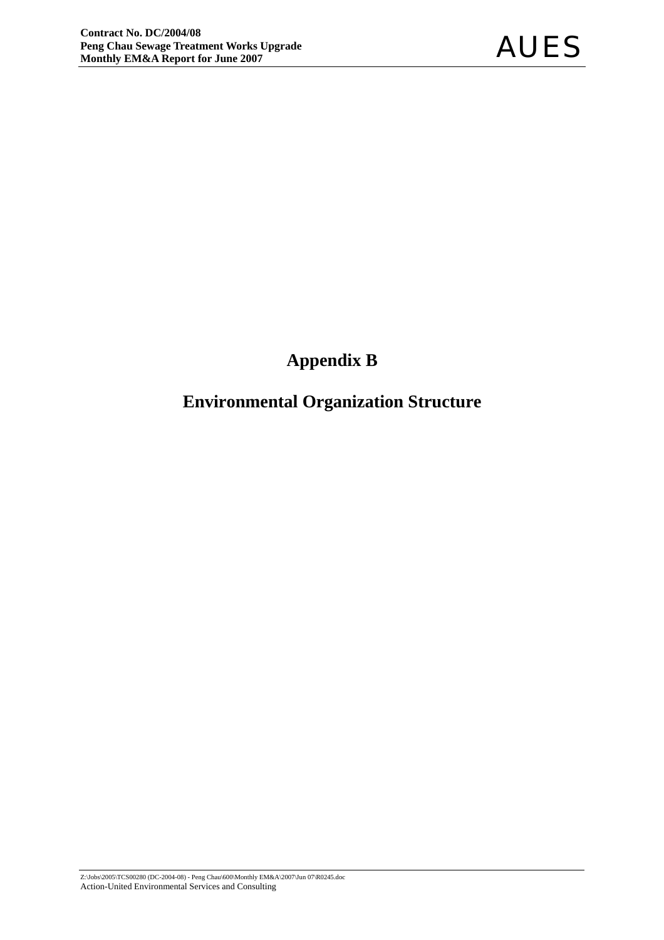# **Appendix B**

# **Environmental Organization Structure**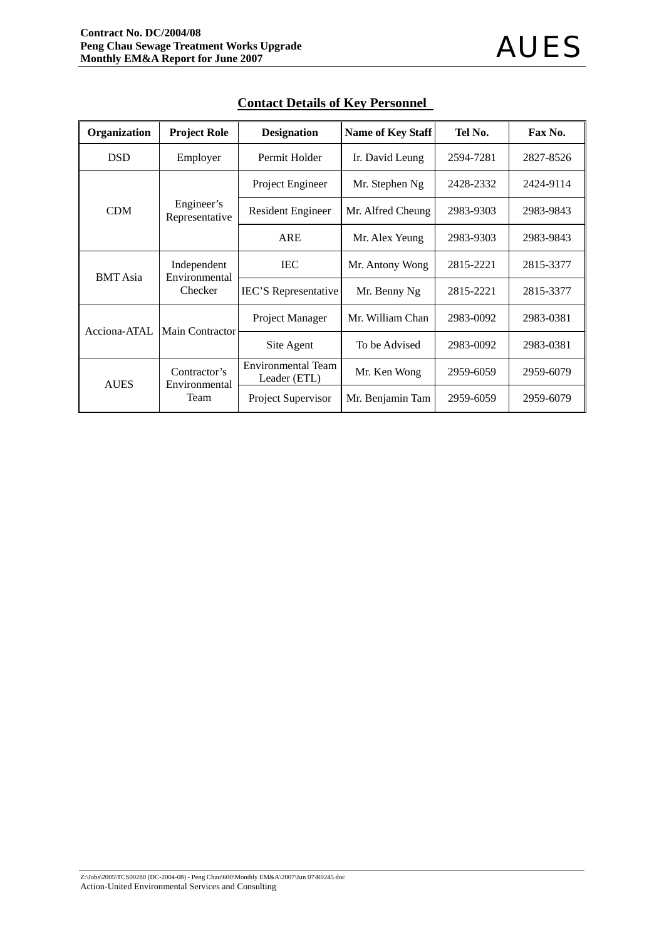| Organization    | <b>Project Role</b>           | <b>Designation</b>                        | <b>Name of Key Staff</b> | Tel No.   | Fax No.   |
|-----------------|-------------------------------|-------------------------------------------|--------------------------|-----------|-----------|
| <b>DSD</b>      | Employer                      | Permit Holder                             | Ir. David Leung          | 2594-7281 | 2827-8526 |
|                 |                               | Project Engineer                          | Mr. Stephen Ng           | 2428-2332 | 2424-9114 |
| <b>CDM</b>      | Engineer's<br>Representative  | <b>Resident Engineer</b>                  | Mr. Alfred Cheung        | 2983-9303 | 2983-9843 |
|                 |                               | <b>ARE</b>                                | Mr. Alex Yeung           | 2983-9303 | 2983-9843 |
| <b>BMT</b> Asia | Independent<br>Environmental  | <b>IEC</b>                                | Mr. Antony Wong          | 2815-2221 | 2815-3377 |
|                 | Checker                       | <b>IEC'S</b> Representative               | Mr. Benny Ng             | 2815-2221 | 2815-3377 |
| Acciona-ATAL    | Main Contractor               | Project Manager                           | Mr. William Chan         | 2983-0092 | 2983-0381 |
|                 |                               | Site Agent                                | To be Advised            | 2983-0092 | 2983-0381 |
| <b>AUES</b>     | Contractor's<br>Environmental | <b>Environmental Team</b><br>Leader (ETL) | Mr. Ken Wong             | 2959-6059 | 2959-6079 |
|                 | Team                          | Project Supervisor                        | Mr. Benjamin Tam         | 2959-6059 | 2959-6079 |

### **Contact Details of Key Personnel**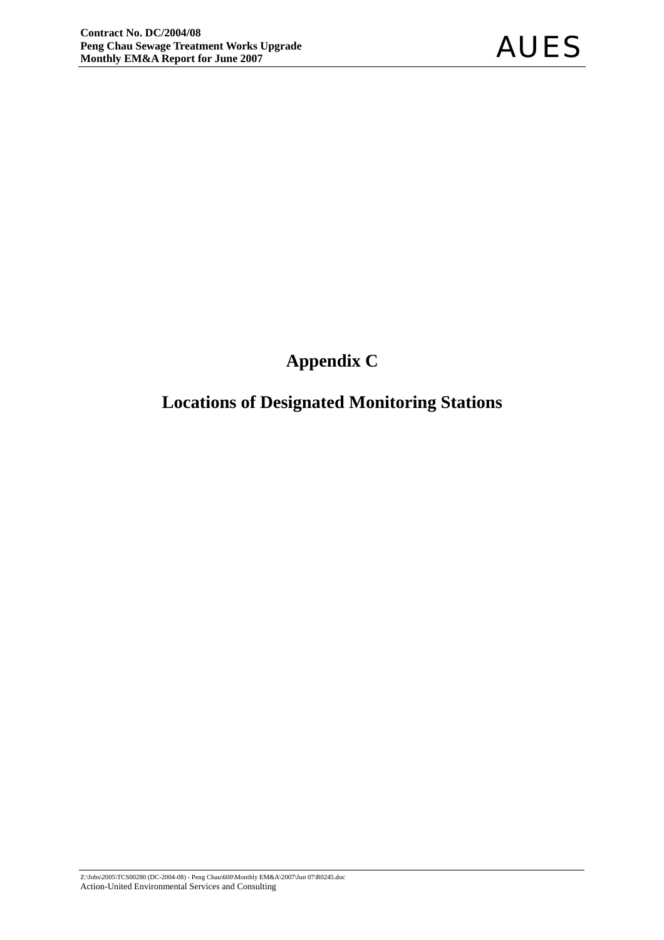# **Appendix C**

# **Locations of Designated Monitoring Stations**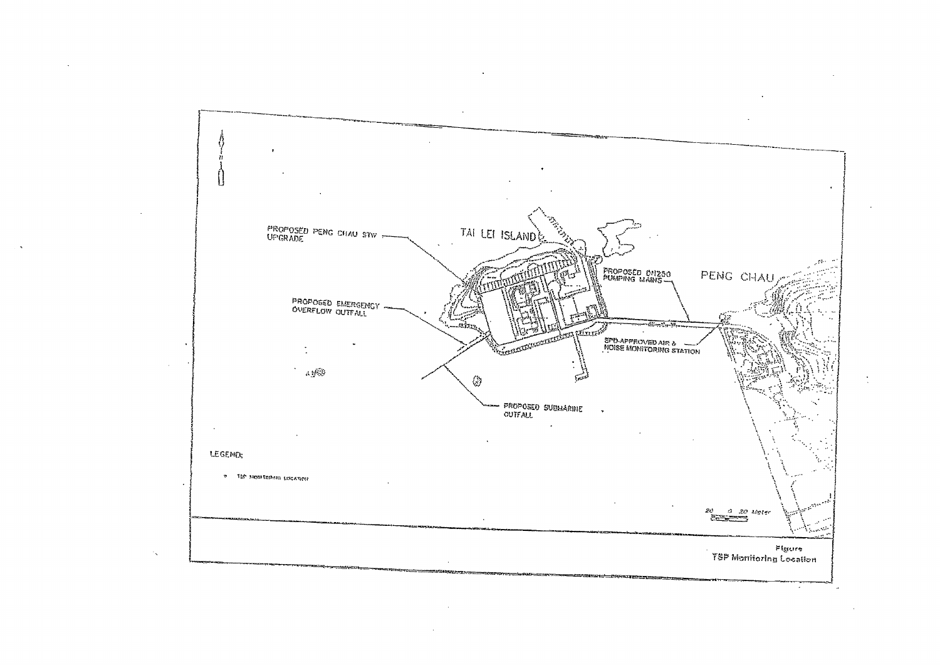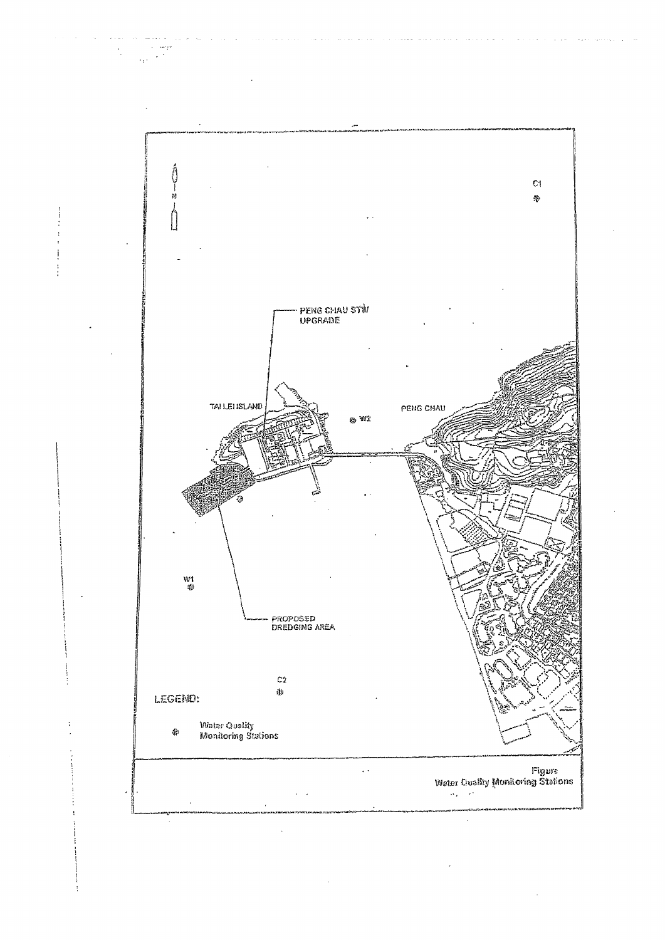

 $\sim$ i<br>San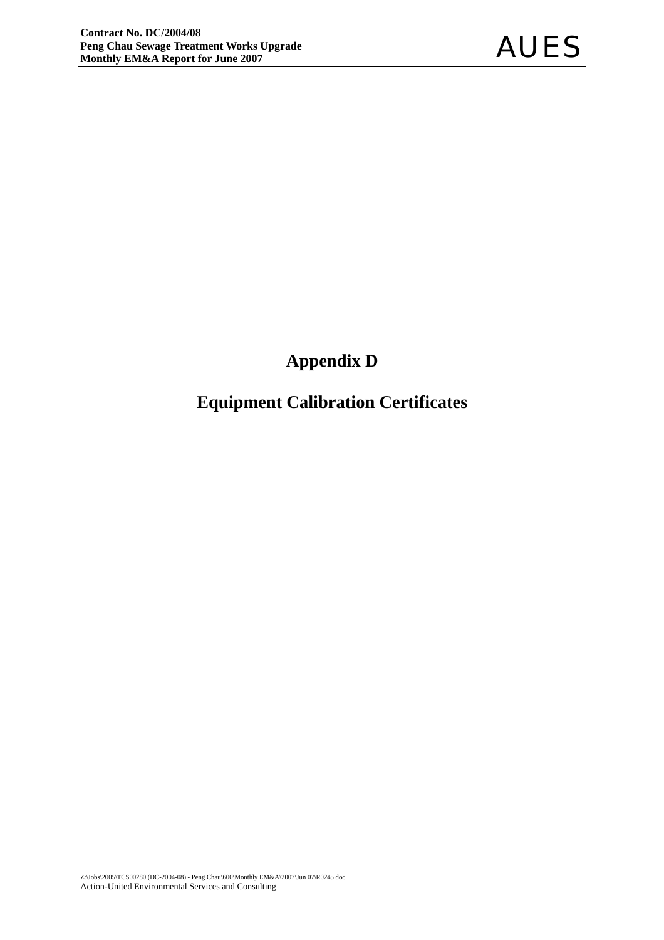# **Appendix D**

# **Equipment Calibration Certificates**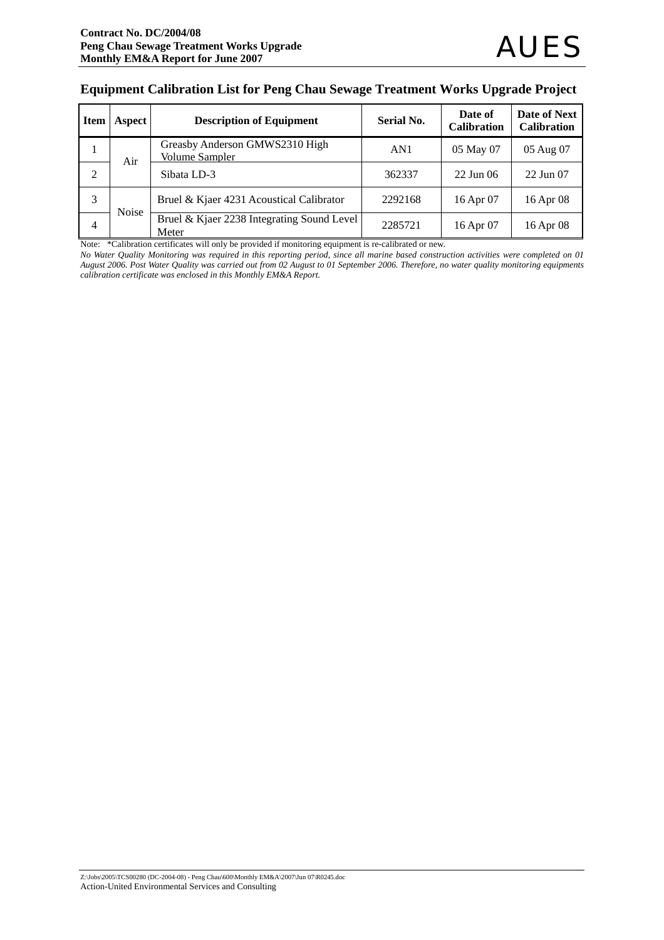#### **Equipment Calibration List for Peng Chau Sewage Treatment Works Upgrade Project**

| <b>Item</b> | Aspect       | <b>Description of Equipment</b>                         | <b>Serial No.</b> | Date of<br><b>Calibration</b> | Date of Next<br><b>Calibration</b> |
|-------------|--------------|---------------------------------------------------------|-------------------|-------------------------------|------------------------------------|
| T           | Air          | Greasby Anderson GMWS2310 High<br><b>Volume Sampler</b> | AN1               | 05 May 07                     | 05 Aug 07                          |
| 2           |              | Sibata LD-3                                             | 362337            | $22$ Jun 06                   | 22 Jun 07                          |
| 3           | <b>Noise</b> | Bruel & Kjaer 4231 Acoustical Calibrator                | 2292168           | 16 Apr 07                     | 16 Apr 08                          |
| 4           |              | Bruel & Kjaer 2238 Integrating Sound Level<br>Meter     | 2285721           | 16 Apr 07                     | 16 Apr 08                          |

Note: \*Calibration certificates will only be provided if monitoring equipment is re-calibrated or new.

*No Water Quality Monitoring was required in this reporting period, since all marine based construction activities were completed on 01 August 2006. Post Water Quality was carried out from 02 August to 01 September 2006. Therefore, no water quality monitoring equipments calibration certificate was enclosed in this Monthly EM&A Report.*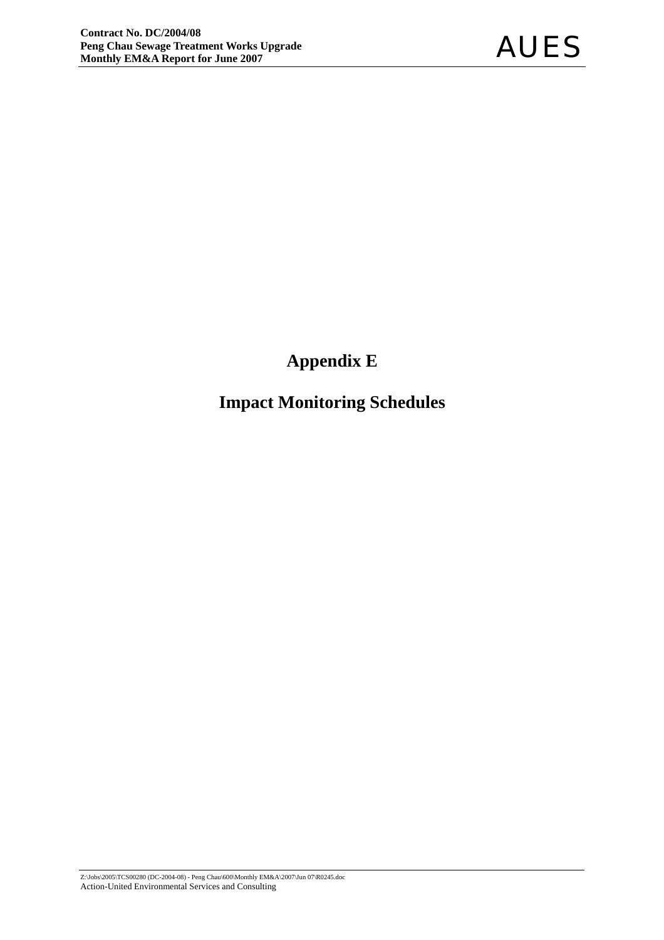# **Appendix E**

# **Impact Monitoring Schedules**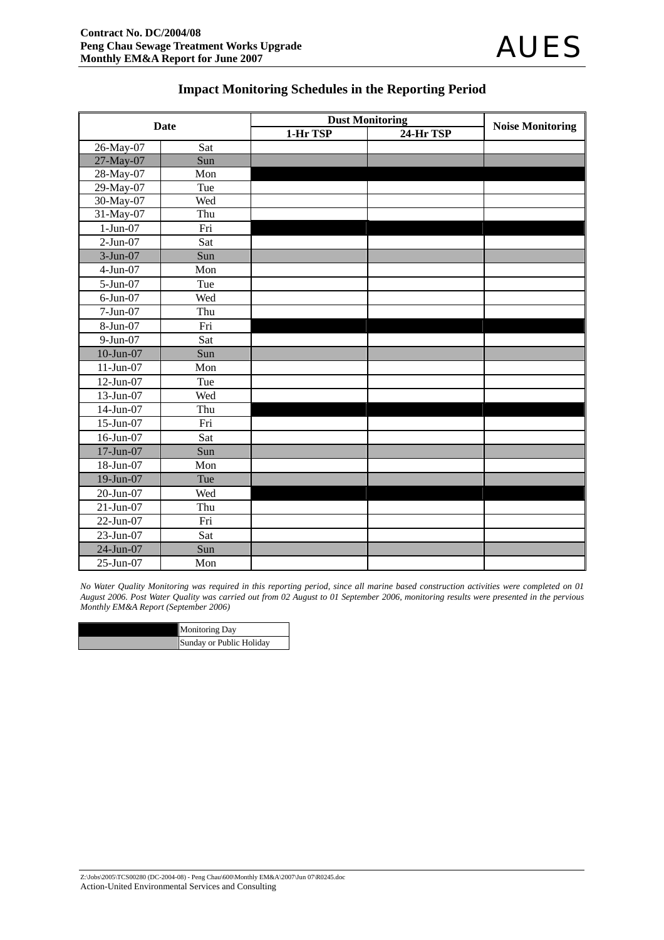#### **Impact Monitoring Schedules in the Reporting Period**

|              | <b>Date</b> |          | <b>Dust Monitoring</b> | <b>Noise Monitoring</b> |
|--------------|-------------|----------|------------------------|-------------------------|
|              |             | 1-Hr TSP | 24-Hr TSP              |                         |
| 26-May-07    | Sat         |          |                        |                         |
| 27-May-07    | Sun         |          |                        |                         |
| 28-May-07    | Mon         |          |                        |                         |
| 29-May-07    | Tue         |          |                        |                         |
| 30-May-07    | Wed         |          |                        |                         |
| 31-May-07    | Thu         |          |                        |                         |
| $1-Jun-07$   | Fri         |          |                        |                         |
| $2-Jun-07$   | Sat         |          |                        |                         |
| 3-Jun-07     | Sun         |          |                        |                         |
| 4-Jun-07     | Mon         |          |                        |                         |
| 5-Jun-07     | Tue         |          |                        |                         |
| $6$ -Jun-07  | Wed         |          |                        |                         |
| 7-Jun-07     | Thu         |          |                        |                         |
| 8-Jun-07     | Fri         |          |                        |                         |
| 9-Jun-07     | Sat         |          |                        |                         |
| $10$ -Jun-07 | Sun         |          |                        |                         |
| $11-Jun-07$  | Mon         |          |                        |                         |
| 12-Jun-07    | Tue         |          |                        |                         |
| 13-Jun-07    | Wed         |          |                        |                         |
| 14-Jun-07    | Thu         |          |                        |                         |
| 15-Jun-07    | Fri         |          |                        |                         |
| 16-Jun-07    | Sat         |          |                        |                         |
| 17-Jun-07    | Sun         |          |                        |                         |
| 18-Jun-07    | Mon         |          |                        |                         |
| 19-Jun-07    | Tue         |          |                        |                         |
| 20-Jun-07    | Wed         |          |                        |                         |
| $21-Jun-07$  | Thu         |          |                        |                         |
| 22-Jun-07    | Fri         |          |                        |                         |
| 23-Jun-07    | Sat         |          |                        |                         |
| 24-Jun-07    | Sun         |          |                        |                         |
| 25-Jun-07    | Mon         |          |                        |                         |

*No Water Quality Monitoring was required in this reporting period, since all marine based construction activities were completed on 01 August 2006. Post Water Quality was carried out from 02 August to 01 September 2006, monitoring results were presented in the pervious Monthly EM&A Report (September 2006)* 

| <b>Monitoring Day</b>    |
|--------------------------|
| Sunday or Public Holiday |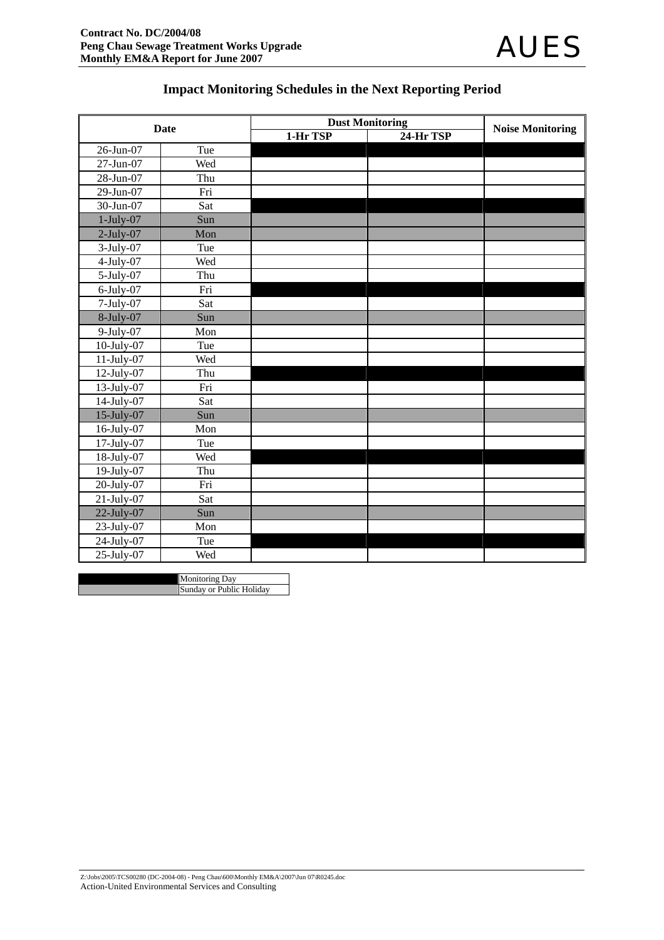# **Impact Monitoring Schedules in the Next Reporting Period**

|                  | Date |          | <b>Dust Monitoring</b> |                         |
|------------------|------|----------|------------------------|-------------------------|
|                  |      | 1-Hr TSP | 24-Hr TSP              | <b>Noise Monitoring</b> |
| 26-Jun-07        | Tue  |          |                        |                         |
| 27-Jun-07        | Wed  |          |                        |                         |
| 28-Jun-07        | Thu  |          |                        |                         |
| 29-Jun-07        | Fri  |          |                        |                         |
| 30-Jun-07        | Sat  |          |                        |                         |
| $1$ -July-07     | Sun  |          |                        |                         |
| $2$ -July-07     | Mon  |          |                        |                         |
| $3$ -July-07     | Tue  |          |                        |                         |
| $4-July-07$      | Wed  |          |                        |                         |
| $5$ -July-07     | Thu  |          |                        |                         |
| $6$ -July-07     | Fri  |          |                        |                         |
| $7$ -July-07     | Sat  |          |                        |                         |
| $8$ -July-07     | Sun  |          |                        |                         |
| $9$ -July-07     | Mon  |          |                        |                         |
| $10$ -July- $07$ | Tue  |          |                        |                         |
| 11-July-07       | Wed  |          |                        |                         |
| $12$ -July-07    | Thu  |          |                        |                         |
| 13-July-07       | Fri  |          |                        |                         |
| 14-July-07       | Sat  |          |                        |                         |
| 15-July-07       | Sun  |          |                        |                         |
| 16-July-07       | Mon  |          |                        |                         |
| $17$ -July-07    | Tue  |          |                        |                         |
| 18-July-07       | Wed  |          |                        |                         |
| 19-July-07       | Thu  |          |                        |                         |
| 20-July-07       | Fri  |          |                        |                         |
| $21$ -July-07    | Sat  |          |                        |                         |
| $22$ -July-07    | Sun  |          |                        |                         |
| $23$ -July-07    | Mon  |          |                        |                         |
| 24-July-07       | Tue  |          |                        |                         |
| 25-July-07       | Wed  |          |                        |                         |

Monitoring Day Sunday or Public Holiday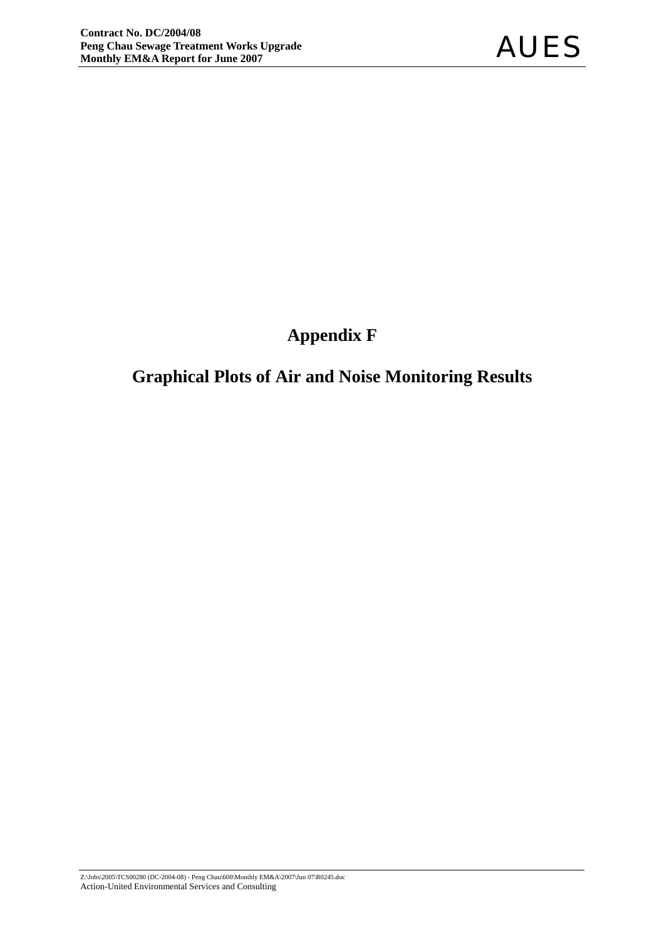# **Appendix F**

# **Graphical Plots of Air and Noise Monitoring Results**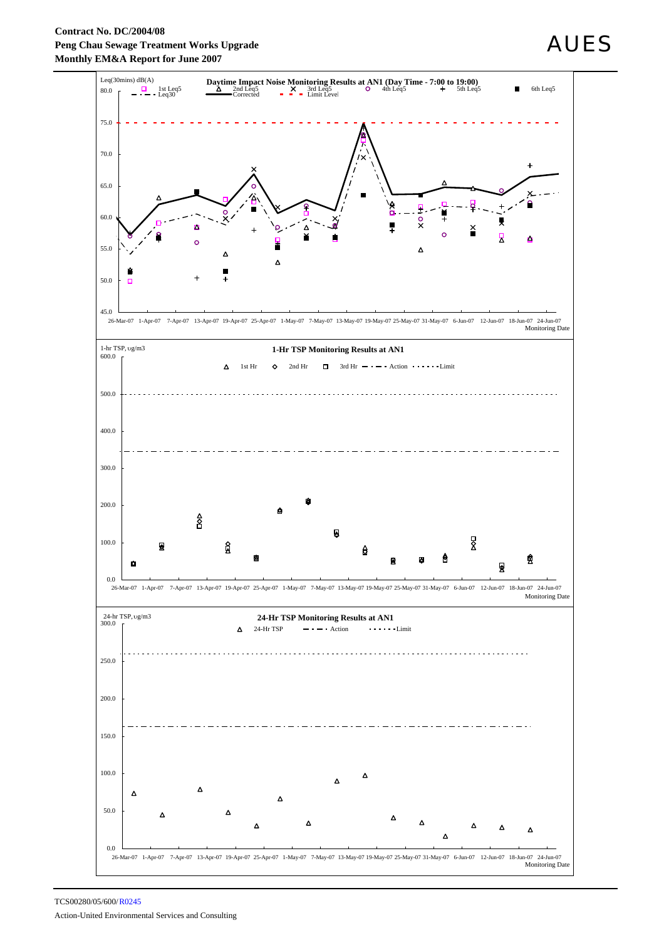#### **Contract No. DC/2004/08 Peng Chau Sewage Treatment Works Upgrade Monthly EM&A Report for June 2007**



# AUES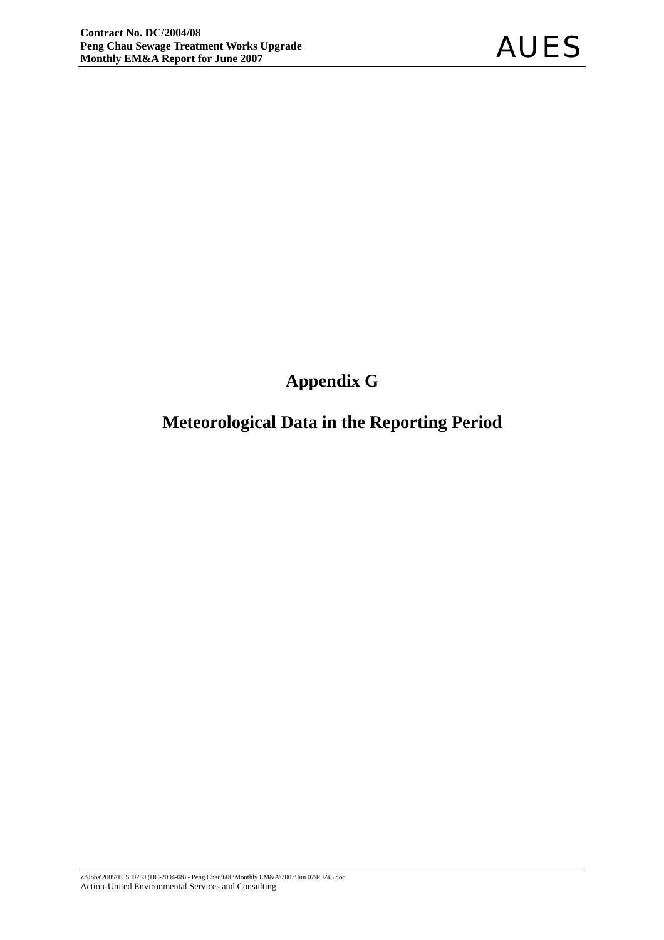# **Appendix G**

# **Meteorological Data in the Reporting Period**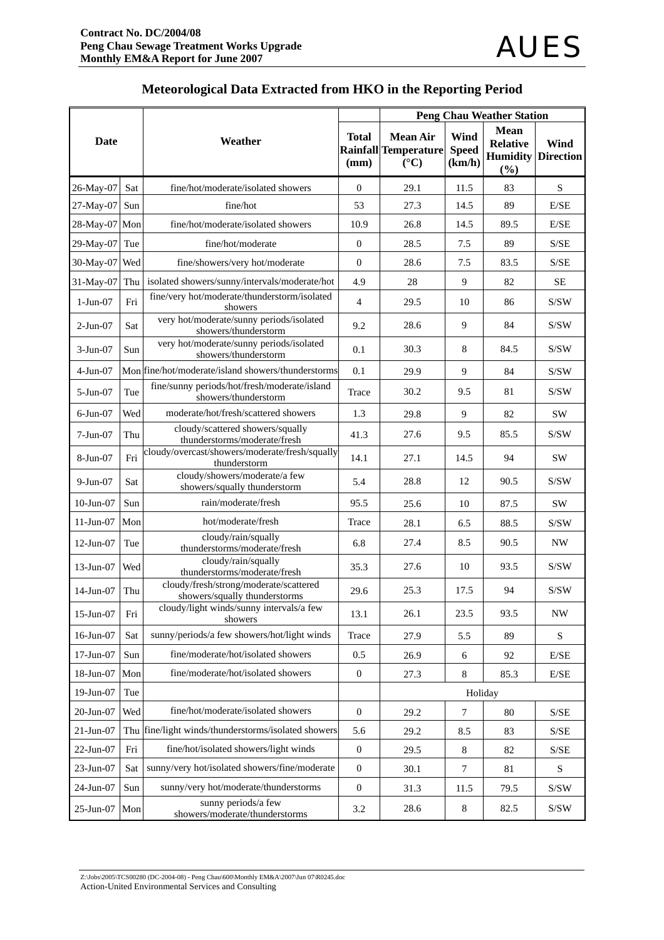|                 |     |                                                                         |                      |                                                                   |                                | <b>Peng Chau Weather Station</b>                            |                                                    |
|-----------------|-----|-------------------------------------------------------------------------|----------------------|-------------------------------------------------------------------|--------------------------------|-------------------------------------------------------------|----------------------------------------------------|
| <b>Date</b>     |     | Weather                                                                 | <b>Total</b><br>(mm) | <b>Mean Air</b><br><b>Rainfall Temperature</b><br>$({}^{\circ}C)$ | Wind<br><b>Speed</b><br>(km/h) | <b>Mean</b><br><b>Relative</b><br><b>Humidity</b><br>$(\%)$ | <b>Wind</b><br><b>Direction</b>                    |
| 26-May-07       | Sat | fine/hot/moderate/isolated showers                                      | $\overline{0}$       | 29.1                                                              | 11.5                           | 83                                                          | $\mathbf S$                                        |
| 27-May-07       | Sun | fine/hot                                                                | 53                   | 27.3                                                              | 14.5                           | 89                                                          | E/SE                                               |
| 28-May-07 Mon   |     | fine/hot/moderate/isolated showers                                      | 10.9                 | 26.8                                                              | 14.5                           | 89.5                                                        | E/SE                                               |
| 29-May-07       | Tue | fine/hot/moderate                                                       | $\boldsymbol{0}$     | 28.5                                                              | 7.5                            | 89                                                          | S/SE                                               |
| 30-May-07       | Wed | fine/showers/very hot/moderate                                          | $\theta$             | 28.6                                                              | 7.5                            | 83.5                                                        | S/SE                                               |
| 31-May-07       | Thu | isolated showers/sunny/intervals/moderate/hot                           | 4.9                  | 28                                                                | 9                              | 82                                                          | $\rm SE$                                           |
| $1-Jun-07$      | Fri | fine/very hot/moderate/thunderstorm/isolated<br>showers                 | $\overline{4}$       | 29.5                                                              | 10                             | 86                                                          | S/SW                                               |
| $2-Jun-07$      | Sat | very hot/moderate/sunny periods/isolated<br>showers/thunderstorm        | 9.2                  | 28.6                                                              | 9                              | 84                                                          | S/SW                                               |
| $3-Jun-07$      | Sun | very hot/moderate/sunny periods/isolated<br>showers/thunderstorm        | 0.1                  | 30.3                                                              | 8                              | 84.5                                                        | S/SW                                               |
| $4-Jun-07$      |     | Mon fine/hot/moderate/island showers/thunderstorms                      | 0.1                  | 29.9                                                              | 9                              | 84                                                          | S/SW                                               |
| $5-Jun-07$      | Tue | fine/sunny periods/hot/fresh/moderate/island<br>showers/thunderstorm    | Trace                | 30.2                                                              | 9.5                            | 81                                                          | S/SW                                               |
| $6$ -Jun- $07$  | Wed | moderate/hot/fresh/scattered showers                                    | 1.3                  | 29.8                                                              | 9                              | 82                                                          | SW                                                 |
| $7-Jun-07$      | Thu | cloudy/scattered showers/squally<br>thunderstorms/moderate/fresh        | 41.3                 | 27.6                                                              | 9.5                            | 85.5                                                        | S/SW                                               |
| 8-Jun-07        | Fri | cloudy/overcast/showers/moderate/fresh/squally<br>thunderstorm          | 14.1                 | 27.1                                                              | 14.5                           | 94                                                          | <b>SW</b>                                          |
| $9-Jun-07$      | Sat | cloudy/showers/moderate/a few<br>showers/squally thunderstorm           | 5.4                  | 28.8                                                              | 12                             | 90.5                                                        | S/SW                                               |
| $10$ -Jun- $07$ | Sun | rain/moderate/fresh                                                     | 95.5                 | 25.6                                                              | 10                             | 87.5                                                        | <b>SW</b>                                          |
| $11-Jun-07$     | Mon | hot/moderate/fresh                                                      | Trace                | 28.1                                                              | 6.5                            | 88.5                                                        | S/SW                                               |
| 12-Jun-07       | Tue | cloudy/rain/squally<br>thunderstorms/moderate/fresh                     | 6.8                  | 27.4                                                              | 8.5                            | 90.5                                                        | <b>NW</b>                                          |
| $13$ -Jun-07    | Wed | cloudy/rain/squally<br>thunderstorms/moderate/fresh                     | 35.3                 | 27.6                                                              | 10                             | 93.5                                                        | S/SW                                               |
| 14-Jun-07       | Thu | cloudy/fresh/strong/moderate/scattered<br>showers/squally thunderstorms | 29.6                 | 25.3                                                              | 17.5                           | 94                                                          | S/SW                                               |
| 15-Jun-07       | Fri | cloudy/light winds/sunny intervals/a few<br>showers                     | 13.1                 | 26.1                                                              | 23.5                           | 93.5                                                        | <b>NW</b>                                          |
| 16-Jun-07       | Sat | sunny/periods/a few showers/hot/light winds                             | Trace                | 27.9                                                              | 5.5                            | 89                                                          | S                                                  |
| 17-Jun-07       | Sun | fine/moderate/hot/isolated showers                                      | 0.5                  | 26.9                                                              | 6                              | 92                                                          | $\rm E/SE$                                         |
| 18-Jun-07       | Mon | fine/moderate/hot/isolated showers                                      | $\mathbf{0}$         | 27.3                                                              | $\,8\,$                        | 85.3                                                        | E/SE                                               |
| 19-Jun-07       | Tue |                                                                         |                      |                                                                   | Holiday                        |                                                             |                                                    |
| 20-Jun-07       | Wed | fine/hot/moderate/isolated showers                                      | $\boldsymbol{0}$     | 29.2                                                              | 7                              | 80                                                          | S/SE                                               |
| 21-Jun-07       |     | Thu fine/light winds/thunderstorms/isolated showers                     | 5.6                  | 29.2                                                              | 8.5                            | 83                                                          | $\ensuremath{\mathrm{S}}/\ensuremath{\mathrm{SE}}$ |
| 22-Jun-07       | Fri | fine/hot/isolated showers/light winds                                   | $\boldsymbol{0}$     | 29.5                                                              | $\,8\,$                        | 82                                                          | S/SE                                               |
| 23-Jun-07       | Sat | sunny/very hot/isolated showers/fine/moderate                           | $\mathbf{0}$         | 30.1                                                              | $\tau$                         | 81                                                          | $\mathbf S$                                        |
| 24-Jun-07       | Sun | sunny/very hot/moderate/thunderstorms                                   | $\mathbf{0}$         | 31.3                                                              | 11.5                           | 79.5                                                        | $\mathrm{S/SW}$                                    |
| 25-Jun-07       | Mon | sunny periods/a few<br>showers/moderate/thunderstorms                   | 3.2                  | 28.6                                                              | $\,8\,$                        | 82.5                                                        | $\ensuremath{\mathrm{S}}/\ensuremath{\mathrm{SW}}$ |

# **Meteorological Data Extracted from HKO in the Reporting Period**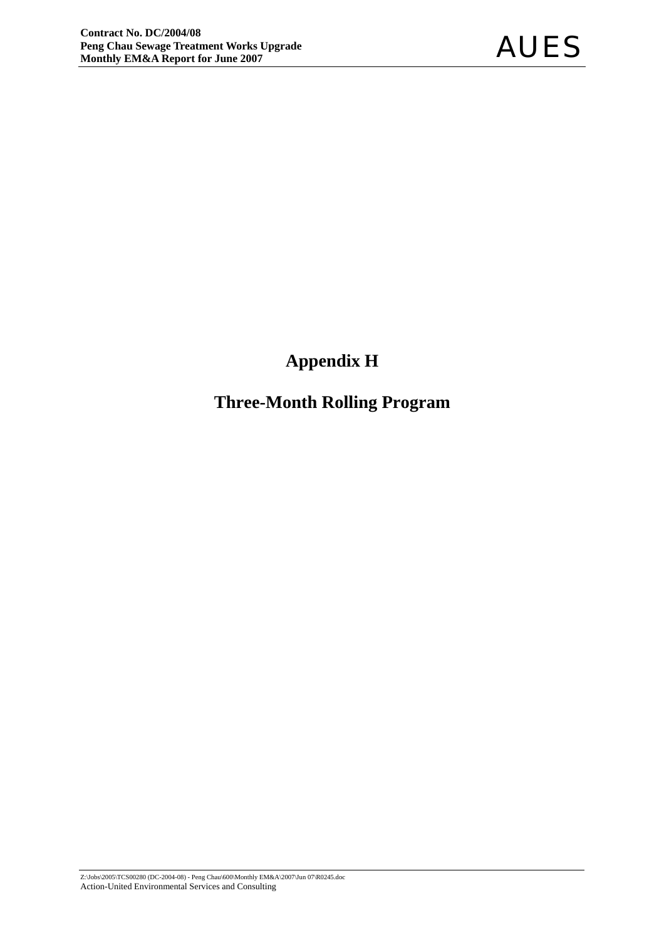# **Appendix H**

# **Three-Month Rolling Program**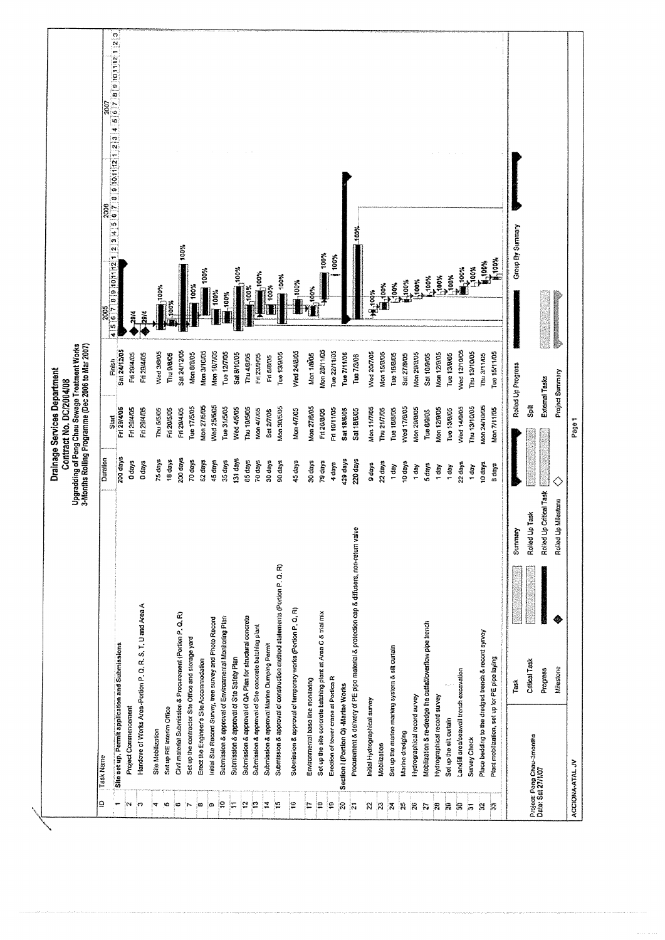|                         |                                                                                           |                       |                                                      |                   | Drainage Services Department<br>Contract No. DC/2004/08 |                                                                                                     |                                                                                                                                                                                                                                                                                                                                                                                  |
|-------------------------|-------------------------------------------------------------------------------------------|-----------------------|------------------------------------------------------|-------------------|---------------------------------------------------------|-----------------------------------------------------------------------------------------------------|----------------------------------------------------------------------------------------------------------------------------------------------------------------------------------------------------------------------------------------------------------------------------------------------------------------------------------------------------------------------------------|
|                         |                                                                                           |                       |                                                      |                   |                                                         | Upgradding of Pong Chau Sewage Treatment Works<br>3-Months Rolling Programme (Dec 2006 to Mar 2007) |                                                                                                                                                                                                                                                                                                                                                                                  |
| ₽                       | Task Name                                                                                 |                       |                                                      | Duration          | Start                                                   | Finish                                                                                              | 4 5 6 7 1 8 1 9 10 11 12 13 14 5 16 17 18 19 10 11 12 13 14 5 16 17 18 19 11 12 13<br>2007<br>2006<br>2005                                                                                                                                                                                                                                                                       |
| ٣                       | Site set up, Permit application and Submissions                                           |                       |                                                      | 200 days          | Fri 29/4/05                                             | Sat 24/12/05                                                                                        |                                                                                                                                                                                                                                                                                                                                                                                  |
| 'nч                     | Project Commencement                                                                      |                       |                                                      | 0 days            | Fri 29/4/05                                             | Fri 29/4/05                                                                                         | 29/4                                                                                                                                                                                                                                                                                                                                                                             |
| က                       | Handove of Works Area -Portion P. Q. R. S. T. U and Area A                                |                       |                                                      | 0 days            | Fri 29/4/05                                             | Fri 29/4/05                                                                                         | $-29/4$                                                                                                                                                                                                                                                                                                                                                                          |
| ×                       | Site Mobilization                                                                         |                       |                                                      | 75 days           | Thu 5/5/05                                              | Wed 3/8/05                                                                                          | 100%                                                                                                                                                                                                                                                                                                                                                                             |
| ю                       | Set up RE Interim Office                                                                  |                       |                                                      | 18 days           | Fri 20/5/05                                             | Thu 9/8/05                                                                                          | $\begin{bmatrix} 1 & 0 & 0 \\ 0 & 0 & 0 \\ 0 & 0 & 0 \\ 0 & 0 & 0 \end{bmatrix}$                                                                                                                                                                                                                                                                                                 |
| စ                       | Civil material Submission & Procurement (Portion P, Q, R)                                 |                       |                                                      | 200 days          | Fri 29/4/05                                             | Sat 24/12/05                                                                                        | 100%                                                                                                                                                                                                                                                                                                                                                                             |
| 'n.                     | Set up the contractor Site Office and storage yard                                        |                       |                                                      | 70 days           | Tue 17/5/05                                             | Mon B/B/05                                                                                          | 100%                                                                                                                                                                                                                                                                                                                                                                             |
| ထ                       | Erect the Engineer's Site Accommodation                                                   |                       |                                                      | 82 days           | Mon 27/6/05                                             | Mon 3/10/05                                                                                         | 100%                                                                                                                                                                                                                                                                                                                                                                             |
| ക                       | Initial Site Record Survey, tree survey and Photo Record                                  |                       |                                                      | 45 days           | Wed 25/5/05                                             | Mon 187/05                                                                                          | 100%                                                                                                                                                                                                                                                                                                                                                                             |
| ူ                       | Submission & approval of Environmental Monitoring Plan                                    |                       |                                                      | 35 days           | Tue 31/5/05                                             | Tue 12/7/05                                                                                         | $-100%$                                                                                                                                                                                                                                                                                                                                                                          |
| ¦≔                      | Submission & approval of Site Safety Plan                                                 |                       |                                                      | 131 days          | Wed 4/5/05                                              | Sat 8/10/05                                                                                         | 100%                                                                                                                                                                                                                                                                                                                                                                             |
| E                       | Submission & approval of QA Plan for structural concrete                                  |                       |                                                      | <b>85 days</b>    | Thu 10/5/05                                             | Thu 4/8/05                                                                                          | $*100%$                                                                                                                                                                                                                                                                                                                                                                          |
| P                       | Submission & approval of Site concrete batching plant                                     |                       |                                                      | 70 days           | Mon 4/7/05                                              | Fri 23/9/05                                                                                         | 100%                                                                                                                                                                                                                                                                                                                                                                             |
| Ξ                       | Submission & approval Marine Dumping Permit                                               |                       |                                                      | 30 days           | Sat 2/7/05                                              | Fri 5/8/05                                                                                          | 100%                                                                                                                                                                                                                                                                                                                                                                             |
| ူ                       | Submission & approval of construction method statements (Portion P, Q, R)                 |                       |                                                      | 90 days           | Mon 30/5/05                                             | Tue 13/9/05                                                                                         | <b>Nook</b>                                                                                                                                                                                                                                                                                                                                                                      |
| Ρ                       | Submission & approval of temperary works (Portion P, Q, R)                                |                       |                                                      | 45 days           | Mon 4/7/05                                              | Wed 24(8/05                                                                                         | $*000$                                                                                                                                                                                                                                                                                                                                                                           |
| F                       | Environmental base line monitoring                                                        |                       |                                                      | 30 days           | Mon 27/8/05                                             | Mon 1/8/05                                                                                          | $\frac{1}{2}$                                                                                                                                                                                                                                                                                                                                                                    |
| ¦e                      | Set up the site concrete batching plant at Area C & trial mix                             |                       |                                                      | 79 days           | F126/8/05                                               | Mon 28/11/05                                                                                        | 100%                                                                                                                                                                                                                                                                                                                                                                             |
| ę                       | Erection of tower crane at Portion R                                                      |                       |                                                      | 4 days            | Fri 18/11/05                                            | Tue 22/11/05                                                                                        | 100%                                                                                                                                                                                                                                                                                                                                                                             |
| $\mathbb{R}$            | Section I (Portion Q) -Marine Works                                                       |                       |                                                      | 429 days          | <b>Sat 18/6/05</b>                                      | Tue 7/11/06                                                                                         |                                                                                                                                                                                                                                                                                                                                                                                  |
| ļ.                      | Procurement & delivery of PE pipe material & protection cap & diffusers, non-return valve |                       |                                                      | 220 days          | <b>Sat 18/8/05</b>                                      | Tue 7/3/08                                                                                          | 100%                                                                                                                                                                                                                                                                                                                                                                             |
| 'N                      | Initial Hydrographical survey                                                             |                       |                                                      |                   | Mon 11/7/05                                             | Wed 207/05                                                                                          |                                                                                                                                                                                                                                                                                                                                                                                  |
| R                       | Mobilization                                                                              |                       |                                                      | 22 days<br>0 days | Thu 21/7/05                                             | Mon 15/8/05                                                                                         | Hook<br><b>Hundre</b>                                                                                                                                                                                                                                                                                                                                                            |
| $\frac{1}{\sqrt{2}}$    | Set up the marine marking system & silt curtain                                           |                       |                                                      | 1 day             | Tue 15/8/05                                             | Tue 16/8/05                                                                                         | 100%                                                                                                                                                                                                                                                                                                                                                                             |
| ļ9                      | Marine dredging                                                                           |                       |                                                      | 10 days           | Wed 17/8/05                                             | <b>Sat 27/8/05</b>                                                                                  | $*000*$                                                                                                                                                                                                                                                                                                                                                                          |
| $\mathbf{26}$           | Hydrographical record survey                                                              |                       |                                                      | 1 day             | Mon 29/8/05                                             | Mon 29/8/05                                                                                         | 100%                                                                                                                                                                                                                                                                                                                                                                             |
| $\overline{\mathbf{z}}$ | Mobilization & re-dredge the outfalloverflow pipe trench                                  |                       |                                                      | 5 days            | Tue 6/9/05                                              | <b>Sat 10/8/05</b>                                                                                  | -100%                                                                                                                                                                                                                                                                                                                                                                            |
| $\mathbb{R}$            | Hydrographical record survey                                                              |                       |                                                      | 1 day             | <b>Mon 12/9/05</b>                                      | Mon 12/9/05                                                                                         |                                                                                                                                                                                                                                                                                                                                                                                  |
| R                       | Set up the silt curtain                                                                   |                       |                                                      | 1 day             | Tuo 13/9/05                                             | Tue 13/9/05                                                                                         | <b>Second</b><br>External                                                                                                                                                                                                                                                                                                                                                        |
| $\mathbb{R}$            | Landiil area/seawall trench excavation                                                    |                       |                                                      | 22 days           | Wed 14/9/05                                             | Wed 12/10/05                                                                                        |                                                                                                                                                                                                                                                                                                                                                                                  |
| 簽                       | Survey Check                                                                              |                       |                                                      | 1 day             | Thu 13/10/05                                            | Thu 13/10/05                                                                                        |                                                                                                                                                                                                                                                                                                                                                                                  |
| È,                      | Place bedding to the dredged french & record syrvey                                       |                       |                                                      | 10 days           | Mon 24/10/05                                            | Thu 3/11/05                                                                                         |                                                                                                                                                                                                                                                                                                                                                                                  |
| 霧                       | Plant mobilization, set up for PE pipe laying                                             |                       |                                                      | 8 days            | Mon 7/11/05                                             | Tue 15/11/05                                                                                        | $\begin{picture}(180,10) \put(0,0){\vector(1,0){10}} \put(0,0){\vector(1,0){10}} \put(0,0){\vector(1,0){10}} \put(0,0){\vector(1,0){10}} \put(0,0){\vector(1,0){10}} \put(0,0){\vector(1,0){10}} \put(0,0){\vector(1,0){10}} \put(0,0){\vector(1,0){10}} \put(0,0){\vector(1,0){10}} \put(0,0){\vector(1,0){10}} \put(0,0){\vector(1,0){10}} \put(0,0){\vector(1,0){10}} \put(0$ |
|                         |                                                                                           | Task                  | Summary                                              |                   |                                                         | Rotted Up Progress                                                                                  | Group By Summary                                                                                                                                                                                                                                                                                                                                                                 |
|                         |                                                                                           | Critical Task         | Roted Up                                             |                   |                                                         |                                                                                                     |                                                                                                                                                                                                                                                                                                                                                                                  |
|                         | Project: Peng Chau-3months<br>Date: Sat 27/1/07                                           |                       | Task                                                 |                   | Ã                                                       |                                                                                                     |                                                                                                                                                                                                                                                                                                                                                                                  |
|                         |                                                                                           | Milestone<br>Progress | Critical Task<br>Milestone<br>Rolled Up<br>Rolled Up |                   | External Tasks                                          | Project Summary                                                                                     |                                                                                                                                                                                                                                                                                                                                                                                  |
|                         |                                                                                           |                       |                                                      |                   |                                                         |                                                                                                     |                                                                                                                                                                                                                                                                                                                                                                                  |
|                         | ACCIONA-ATAL JV                                                                           |                       |                                                      |                   | Page 1                                                  |                                                                                                     |                                                                                                                                                                                                                                                                                                                                                                                  |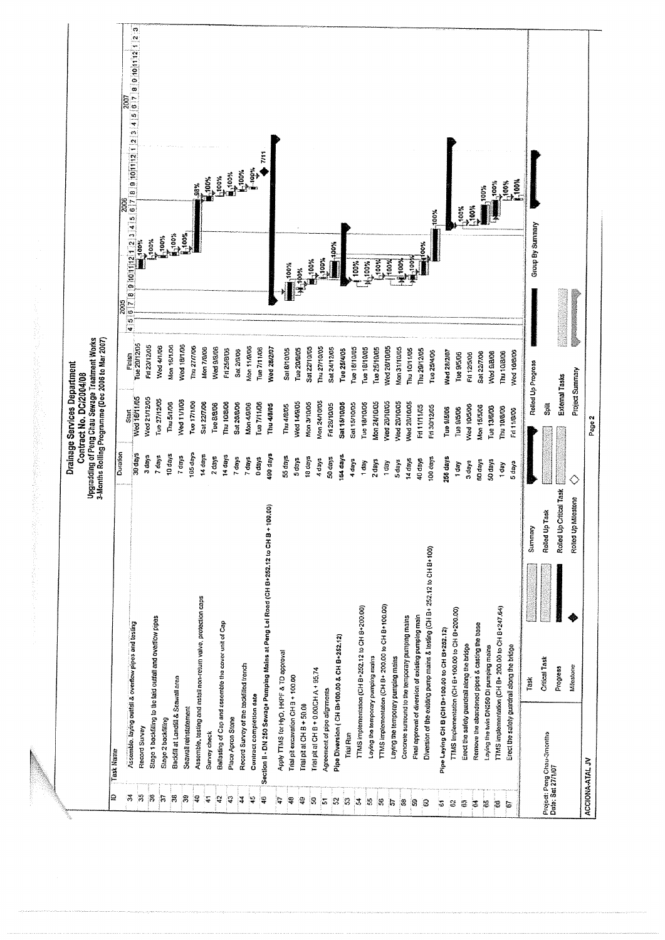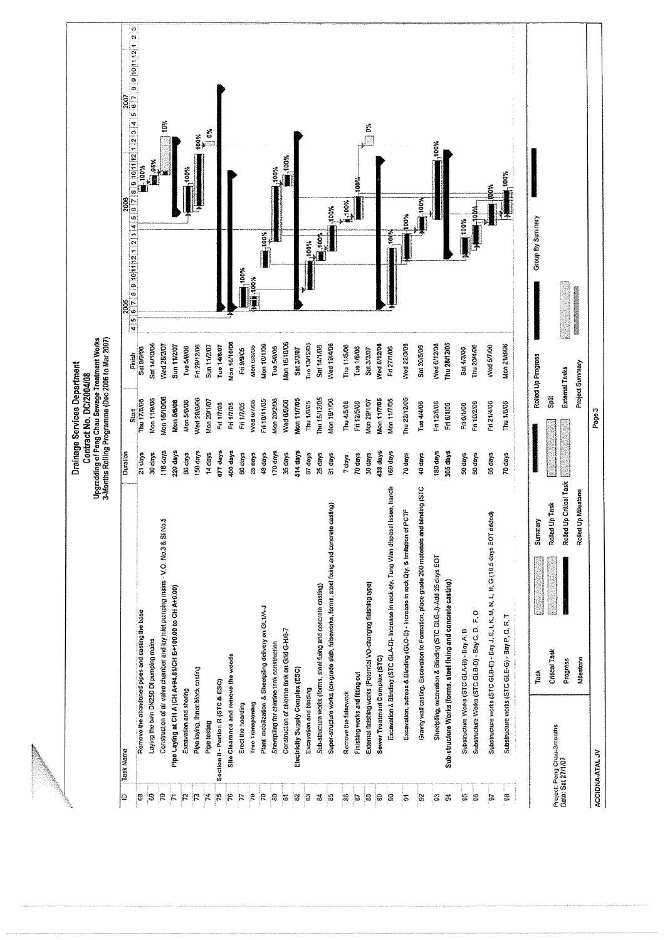|                                                     |                                                                                             |                         |           | Drainage Services Department<br>Contract No. DC/2004/08                                             |                       |                 |                       |                                                                                                                                 |  |
|-----------------------------------------------------|---------------------------------------------------------------------------------------------|-------------------------|-----------|-----------------------------------------------------------------------------------------------------|-----------------------|-----------------|-----------------------|---------------------------------------------------------------------------------------------------------------------------------|--|
|                                                     |                                                                                             |                         |           | Upgradding of Peng Chau Sewage Treatment Works<br>3-Months Rolling Programme (Dec 2006 to Mar 2007) |                       |                 |                       |                                                                                                                                 |  |
| Task Name<br>₽                                      |                                                                                             |                         | Duration  | Start <sub></sub>                                                                                   | Finish                | 2005<br>40<br>4 | 2008                  | 8   2   10   10   10   12   12   3   4   5   8   7   8   9   10   11   12   3   4   5   6   7   8   9   10   11   2   3<br>2007 |  |
| g                                                   | Remove the abandoned pipes and casting the base                                             |                         | $21$ days | Thu 17/8/08                                                                                         | Set 9/9/06            |                 |                       | $+100%$                                                                                                                         |  |
| ုဒ္ဓ                                                | Laying the twin DN250 DI pumping mains                                                      |                         | 30 days   | Mon 11/9/06                                                                                         | <b>Sat 14/10/06</b>   |                 |                       | <b>Mage</b>                                                                                                                     |  |
| $\mathcal{R}$                                       | Construction of air valve chamber and lay inlet pumping mains - V.O. No.3 & SI No.5         |                         | 118 days  | <b>Mon 16/10/06</b>                                                                                 | Wed 28/2/07           |                 |                       | 10%                                                                                                                             |  |
| $\mathcal{F}$                                       | Pipe Laying at CH A (CH A+94.01)CH B+100.00 to CH A+0.00)                                   |                         | 220 days  | Mon 5/6/06                                                                                          | <b>Sun 11/2/07</b>    |                 |                       |                                                                                                                                 |  |
| Excavation and shoring<br>$\mathbf{r}$              |                                                                                             |                         | BD days   | Mon 5/8/08                                                                                          | Tue 5/0/06            |                 |                       | $-100%$                                                                                                                         |  |
| $\mathcal{E}$                                       | Pipe laying, thrust block casting                                                           |                         | 158 days  | Ned 28/8/06                                                                                         | Fri 29/12/08          |                 |                       | 100%                                                                                                                            |  |
| Pipe testing<br>$\mathcal{F}$                       |                                                                                             |                         | 14 days   | Mon 29/1/97                                                                                         | Sun 11/2/07           |                 |                       | in ou                                                                                                                           |  |
| Section II - Portion R (STC & ESC)<br>$\frac{1}{2}$ |                                                                                             |                         | ezr days  | Fri 1/7/05                                                                                          | Tue 14/8/07           |                 |                       |                                                                                                                                 |  |
| $\tilde{\bm{r}}$                                    | Site Clearance and remove the weeds                                                         |                         | 400 days  | Fn 1/7/05                                                                                           | Mon 16/10/06          |                 |                       |                                                                                                                                 |  |
| Erect the hoarding<br>$\tau$                        |                                                                                             |                         | 60 days   | Fri 1/7/05                                                                                          | Fri 9/9/05            | 100%            |                       |                                                                                                                                 |  |
| Tree Transplanting<br>$\mathbb{R}$                  |                                                                                             |                         | 25 days   | Wed 67705                                                                                           | Mon B/B/O5            | <b>Motel</b>    |                       |                                                                                                                                 |  |
| $\mathbb{R}$                                        | Plant mobilization & Sheetpling delivery on GL1/A-J                                         |                         | 49 days   | Fri10/11/05                                                                                         | Mon 10/1/06           |                 | $\sum_{n=1}^{\infty}$ |                                                                                                                                 |  |
| 8                                                   | Sheetpling for chlorine tank construction                                                   |                         | 170 days  | Mon 20/2/08                                                                                         | Tue 5/8/06            |                 |                       | 100%                                                                                                                            |  |
| $\overline{5}$                                      | Construction of chlorine tank on Grid G-H/6-7                                               |                         | 35 days   | Wed 6/9/09                                                                                          | Mon 16/10/06          |                 |                       | <b>MOON</b>                                                                                                                     |  |
| 8                                                   | Electricity Supply Complex (ESC)                                                            |                         | 514 days  | Mon 11/7/05                                                                                         | <b>Sat 3/3/07</b>     |                 |                       |                                                                                                                                 |  |
| Excavation and blinding<br>ဒ                        |                                                                                             |                         | a7 days   | Thu 1/0/05                                                                                          | Tue 13/12/05          |                 | -100%                 |                                                                                                                                 |  |
| ತ                                                   | Sub-structure works (forms, steel fixing and concrete casting)                              |                         | 25 days   | Thu 15/12/05                                                                                        | Sat 14/1/06           |                 | $\frac{1}{2}$         |                                                                                                                                 |  |
| B                                                   | Super-structure works (on-grade stab, fatseworks, forms, steet fixing and concrete casting) |                         | 81 days   | Mon 18/1/06                                                                                         | Wed 19/4/06           |                 | $-100%$               |                                                                                                                                 |  |
| Remove the falsework<br>B                           |                                                                                             |                         | 7 days    | Thu 4/5/06                                                                                          | Thu 11/5/06           |                 | $*00k$                |                                                                                                                                 |  |
| $\mathbf{g}$                                        | Finishing works and fitting out                                                             |                         | 70 days   | Fri 12/5/06                                                                                         | Tue 1/8/06            |                 |                       | 100%                                                                                                                            |  |
| B                                                   | External finishing works (Potential VO-changing finishing type)                             |                         | 30 days   | Mon 29/1/07                                                                                         | Sat 3/3/07            |                 |                       | č                                                                                                                               |  |
| န္တ                                                 | Sewer Treatment Complex (STC)                                                               |                         | 438 days  | Mon 11/7/05                                                                                         | Wed 6/12/06           |                 |                       |                                                                                                                                 |  |
| g                                                   | Excavation & Blinding (STC GLA-D)- Increase in rock qiy. Tung Wan disposal issue, handis    |                         | 169 days  | <b>kon 11/7/05</b>                                                                                  | <b>Fri 27/1/06</b>    |                 | ë                     |                                                                                                                                 |  |
| $\Xi$                                               | Excavation, butress & Blinding (GLD-E) - Increase in rock Qty, & institution of POTF        |                         | 76 days   | <b>Thu 22/12/05</b>                                                                                 | Wed 22/3/08           |                 | 100%                  |                                                                                                                                 |  |
| g.                                                  | Granty wall casting. Excavation to Formation, place grade 200 materials and blinding (STC   |                         | 40 days   | Tue 4/4/06                                                                                          | Sat 20/5/06           |                 | $\blacksquare$ ,100%  |                                                                                                                                 |  |
| S                                                   | Sheetpling, excavation & Blinding (STC GLG-J)-Add 25 days EOT                               |                         | 180 days  | Fri 12/5/06                                                                                         | Wed 6/12/06           |                 |                       | 100%                                                                                                                            |  |
| S                                                   | Sub-structure Works (forms, steel fixing and concrete casting)                              |                         | 305 days  | Fri 6/1/06                                                                                          | Thu 28/12/05          |                 |                       |                                                                                                                                 |  |
| 霉                                                   | Substructure Works (STC GLA-B) - Bay A. B                                                   |                         | 50 days   | Frieuros                                                                                            | Sat 4/3/06            |                 | 100%                  |                                                                                                                                 |  |
| E                                                   | Substructure Works (STC GLB-D) - Bay C. D. F. O                                             |                         | 60 days   | Fri 10/2/08                                                                                         | Thu 20/4/06           |                 | 휴                     |                                                                                                                                 |  |
|                                                     |                                                                                             |                         | 05 days   | Fri 21/4/06                                                                                         | Wed 5/7/00            |                 | á                     |                                                                                                                                 |  |
| <b>S</b>                                            | Substructure works (STC GLB-E) - Bay J, E, I, K, M, N, L, H, G (18.5 days EOT added)        |                         |           |                                                                                                     |                       |                 |                       |                                                                                                                                 |  |
| B                                                   | Substructure works (STC GLE-G) - Bay P, Q, R, T                                             | ÷,                      | 70 days   | Thu 1/8/06                                                                                          | Mon 21/8/06           |                 |                       | $\frac{1}{2}$<br>$\frac{1}{2}$<br>$*00\%$                                                                                       |  |
|                                                     | Task                                                                                        | Summary                 |           |                                                                                                     | Rolled Up Progress    |                 | Group By Summary      |                                                                                                                                 |  |
|                                                     | Critical Task                                                                               | Rolled Up Trisk         |           | 覆の                                                                                                  |                       |                 |                       |                                                                                                                                 |  |
| Project: Peng Chau-3mouths<br>Date: Sat 27/1/07     | Progress                                                                                    | Rolled Up Critical Task |           |                                                                                                     | <b>External Tasks</b> |                 |                       |                                                                                                                                 |  |
|                                                     | Milestona                                                                                   | Rolled Up Milestone     |           |                                                                                                     | Project Summary       |                 |                       |                                                                                                                                 |  |
| ACCIONA-ATALJV                                      |                                                                                             |                         |           |                                                                                                     |                       |                 |                       |                                                                                                                                 |  |